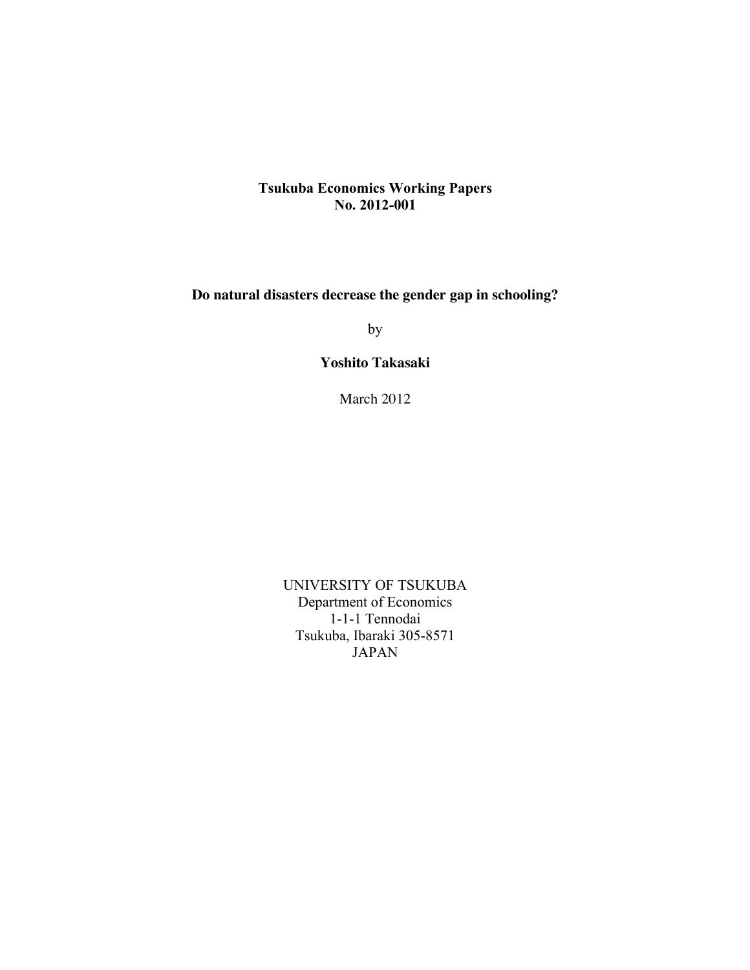## **Tsukuba Economics Working Papers No. 2012-001**

**Do natural disasters decrease the gender gap in schooling?**

by

**Yoshito Takasaki**

March 2012

UNIVERSITY OF TSUKUBA Department of Economics 1-1-1 Tennodai Tsukuba, Ibaraki 305-8571 JAPAN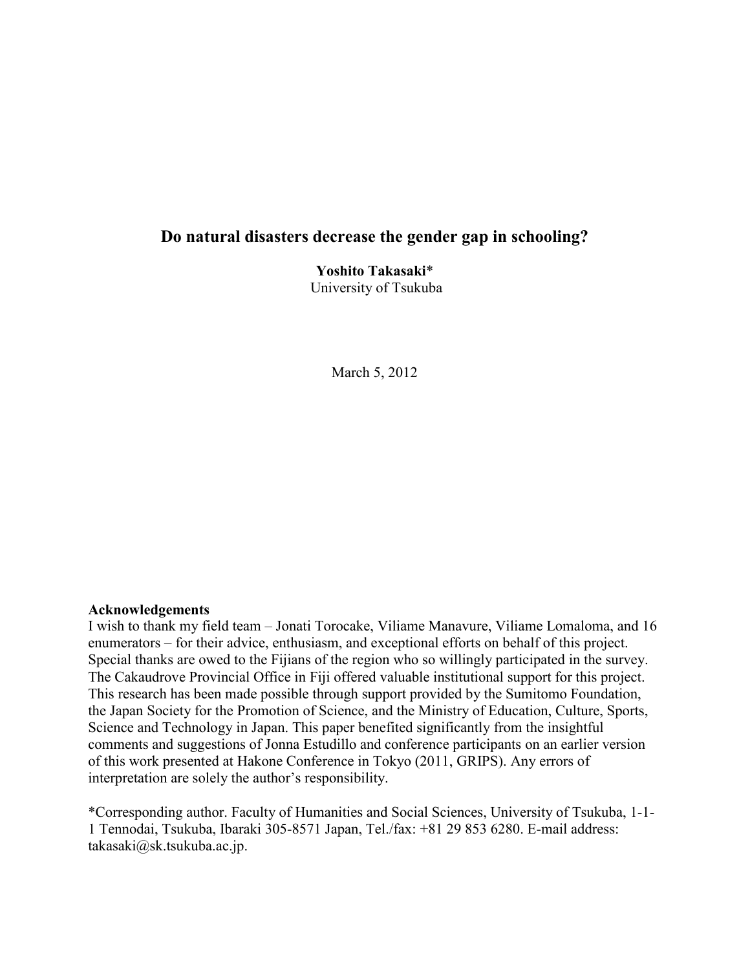# **Do natural disasters decrease the gender gap in schooling?**

**Yoshito Takasaki**\* University of Tsukuba

March 5, 2012

#### **Acknowledgements**

I wish to thank my field team – Jonati Torocake, Viliame Manavure, Viliame Lomaloma, and 16 enumerators – for their advice, enthusiasm, and exceptional efforts on behalf of this project. Special thanks are owed to the Fijians of the region who so willingly participated in the survey. The Cakaudrove Provincial Office in Fiji offered valuable institutional support for this project. This research has been made possible through support provided by the Sumitomo Foundation, the Japan Society for the Promotion of Science, and the Ministry of Education, Culture, Sports, Science and Technology in Japan. This paper benefited significantly from the insightful comments and suggestions of Jonna Estudillo and conference participants on an earlier version of this work presented at Hakone Conference in Tokyo (2011, GRIPS). Any errors of interpretation are solely the author's responsibility.

\*Corresponding author. Faculty of Humanities and Social Sciences, University of Tsukuba, 1-1- 1 Tennodai, Tsukuba, Ibaraki 305-8571 Japan, Tel./fax: +81 29 853 6280. E-mail address: takasaki@sk.tsukuba.ac.jp.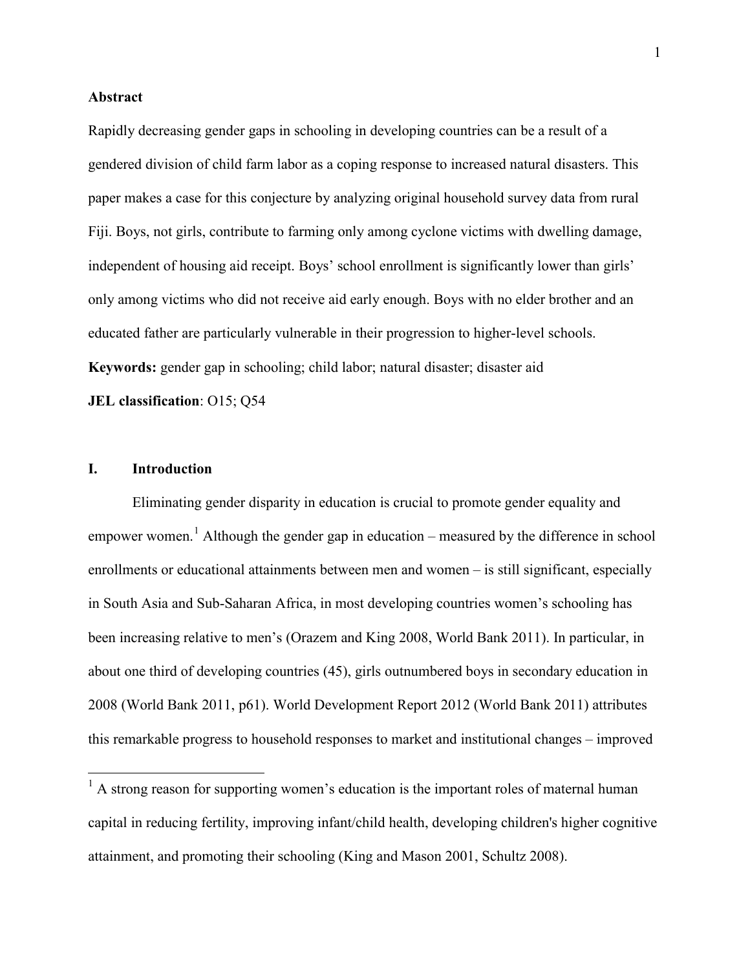#### **Abstract**

Rapidly decreasing gender gaps in schooling in developing countries can be a result of a gendered division of child farm labor as a coping response to increased natural disasters. This paper makes a case for this conjecture by analyzing original household survey data from rural Fiji. Boys, not girls, contribute to farming only among cyclone victims with dwelling damage, independent of housing aid receipt. Boys' school enrollment is significantly lower than girls' only among victims who did not receive aid early enough. Boys with no elder brother and an educated father are particularly vulnerable in their progression to higher-level schools. **Keywords:** gender gap in schooling; child labor; natural disaster; disaster aid **JEL classification**: O15; Q54

#### **I. Introduction**

Eliminating gender disparity in education is crucial to promote gender equality and empower women.<sup>1</sup> Although the gender gap in education – measured by the difference in school enrollments or educational attainments between men and women – is still significant, especially in South Asia and Sub-Saharan Africa, in most developing countries women's schooling has been increasing relative to men's (Orazem and King 2008, World Bank 2011). In particular, in about one third of developing countries (45), girls outnumbered boys in secondary education in 2008 (World Bank 2011, p61). World Development Report 2012 (World Bank 2011) attributes this remarkable progress to household responses to market and institutional changes – improved

 $<sup>1</sup>$  A strong reason for supporting women's education is the important roles of maternal human</sup> capital in reducing fertility, improving infant/child health, developing children's higher cognitive attainment, and promoting their schooling (King and Mason 2001, Schultz 2008).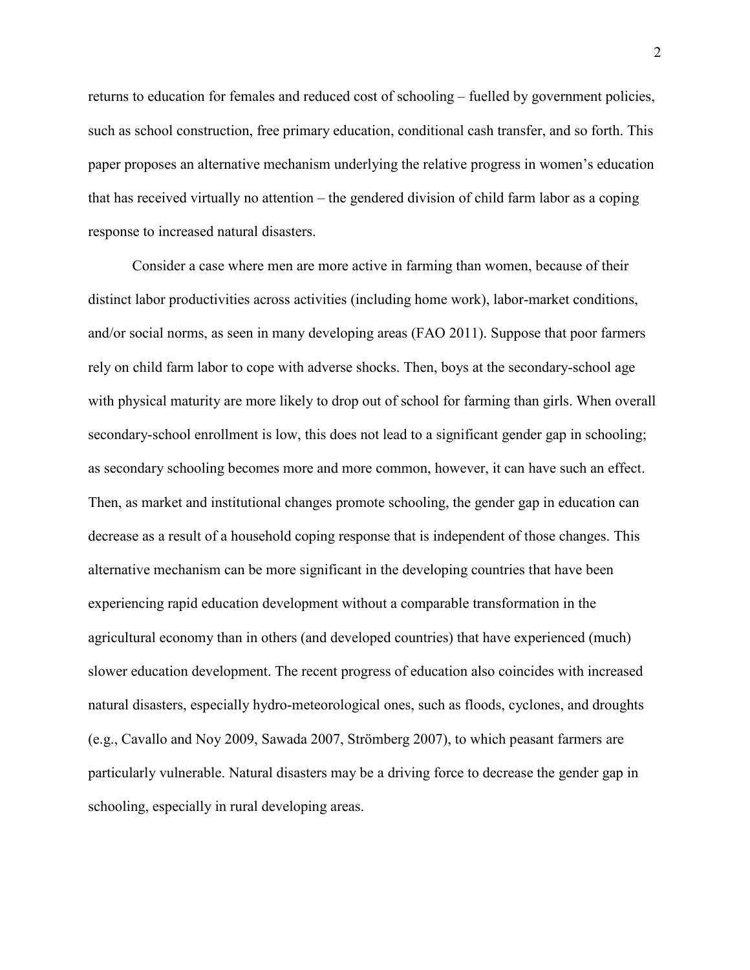returns to education for females and reduced cost of schooling – fuelled by government policies, such as school construction, free primary education, conditional cash transfer, and so forth. This paper proposes an alternative mechanism underlying the relative progress in women's education that has received virtually no attention – the gendered division of child farm labor as a coping response to increased natural disasters.

Consider a case where men are more active in farming than women, because of their distinct labor productivities across activities (including home work), labor-market conditions, and/or social norms, as seen in many developing areas (FAO 2011). Suppose that poor farmers rely on child farm labor to cope with adverse shocks. Then, boys at the secondary-school age with physical maturity are more likely to drop out of school for farming than girls. When overall secondary-school enrollment is low, this does not lead to a significant gender gap in schooling; as secondary schooling becomes more and more common, however, it can have such an effect. Then, as market and institutional changes promote schooling, the gender gap in education can decrease as a result of a household coping response that is independent of those changes. This alternative mechanism can be more significant in the developing countries that have been experiencing rapid education development without a comparable transformation in the agricultural economy than in others (and developed countries) that have experienced (much) slower education development. The recent progress of education also coincides with increased natural disasters, especially hydro-meteorological ones, such as floods, cyclones, and droughts (e.g., Cavallo and Noy 2009, Sawada 2007, Strömberg 2007), to which peasant farmers are particularly vulnerable. Natural disasters may be a driving force to decrease the gender gap in schooling, especially in rural developing areas.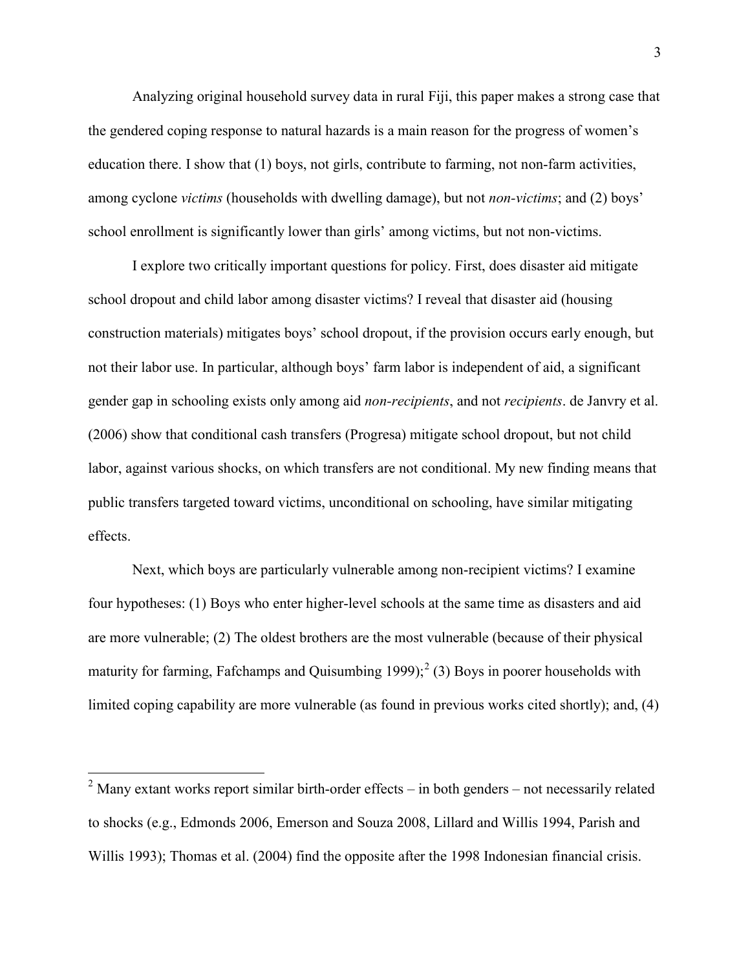Analyzing original household survey data in rural Fiji, this paper makes a strong case that the gendered coping response to natural hazards is a main reason for the progress of women's education there. I show that (1) boys, not girls, contribute to farming, not non-farm activities, among cyclone *victims* (households with dwelling damage), but not *non-victims*; and (2) boys' school enrollment is significantly lower than girls' among victims, but not non-victims.

I explore two critically important questions for policy. First, does disaster aid mitigate school dropout and child labor among disaster victims? I reveal that disaster aid (housing construction materials) mitigates boys' school dropout, if the provision occurs early enough, but not their labor use. In particular, although boys' farm labor is independent of aid, a significant gender gap in schooling exists only among aid *non-recipients*, and not *recipients*. de Janvry et al. (2006) show that conditional cash transfers (Progresa) mitigate school dropout, but not child labor, against various shocks, on which transfers are not conditional. My new finding means that public transfers targeted toward victims, unconditional on schooling, have similar mitigating effects.

Next, which boys are particularly vulnerable among non-recipient victims? I examine four hypotheses: (1) Boys who enter higher-level schools at the same time as disasters and aid are more vulnerable; (2) The oldest brothers are the most vulnerable (because of their physical maturity for farming, Fafchamps and Quisumbing  $1999$ ;<sup>2</sup> (3) Boys in poorer households with limited coping capability are more vulnerable (as found in previous works cited shortly); and, (4)

 $2$  Many extant works report similar birth-order effects – in both genders – not necessarily related to shocks (e.g., Edmonds 2006, Emerson and Souza 2008, Lillard and Willis 1994, Parish and Willis 1993); Thomas et al. (2004) find the opposite after the 1998 Indonesian financial crisis.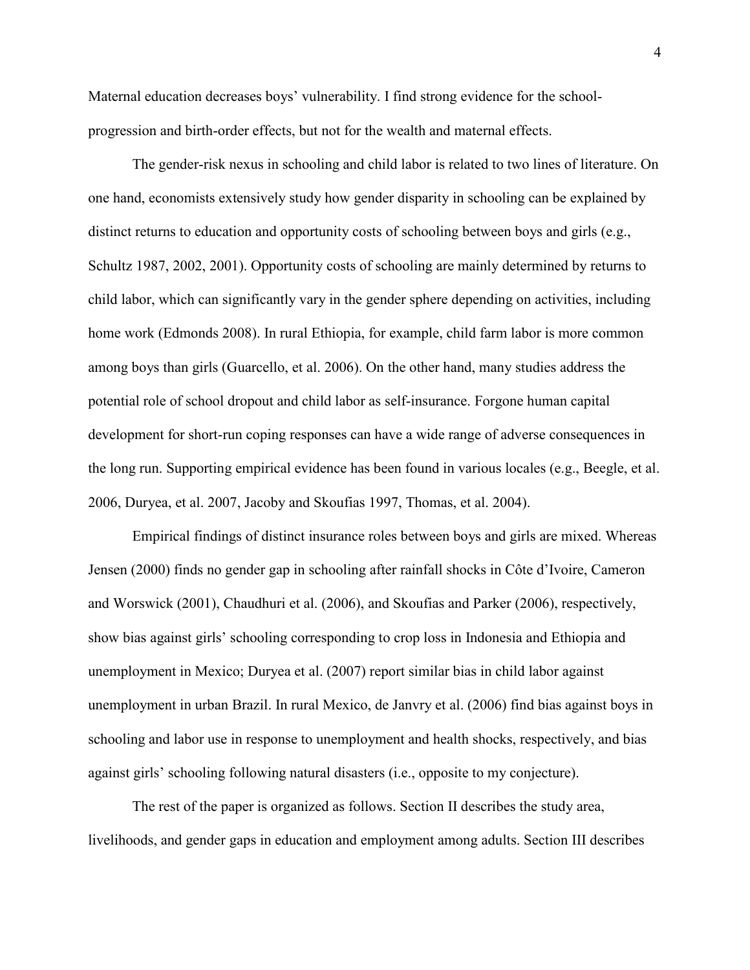Maternal education decreases boys' vulnerability. I find strong evidence for the schoolprogression and birth-order effects, but not for the wealth and maternal effects.

The gender-risk nexus in schooling and child labor is related to two lines of literature. On one hand, economists extensively study how gender disparity in schooling can be explained by distinct returns to education and opportunity costs of schooling between boys and girls (e.g., Schultz 1987, 2002, 2001). Opportunity costs of schooling are mainly determined by returns to child labor, which can significantly vary in the gender sphere depending on activities, including home work (Edmonds 2008). In rural Ethiopia, for example, child farm labor is more common among boys than girls (Guarcello, et al. 2006). On the other hand, many studies address the potential role of school dropout and child labor as self-insurance. Forgone human capital development for short-run coping responses can have a wide range of adverse consequences in the long run. Supporting empirical evidence has been found in various locales (e.g., Beegle, et al. 2006, Duryea, et al. 2007, Jacoby and Skoufias 1997, Thomas, et al. 2004).

Empirical findings of distinct insurance roles between boys and girls are mixed. Whereas Jensen (2000) finds no gender gap in schooling after rainfall shocks in Côte d'Ivoire, Cameron and Worswick (2001), Chaudhuri et al. (2006), and Skoufias and Parker (2006), respectively, show bias against girls' schooling corresponding to crop loss in Indonesia and Ethiopia and unemployment in Mexico; Duryea et al. (2007) report similar bias in child labor against unemployment in urban Brazil. In rural Mexico, de Janvry et al. (2006) find bias against boys in schooling and labor use in response to unemployment and health shocks, respectively, and bias against girls' schooling following natural disasters (i.e., opposite to my conjecture).

The rest of the paper is organized as follows. Section II describes the study area, livelihoods, and gender gaps in education and employment among adults. Section III describes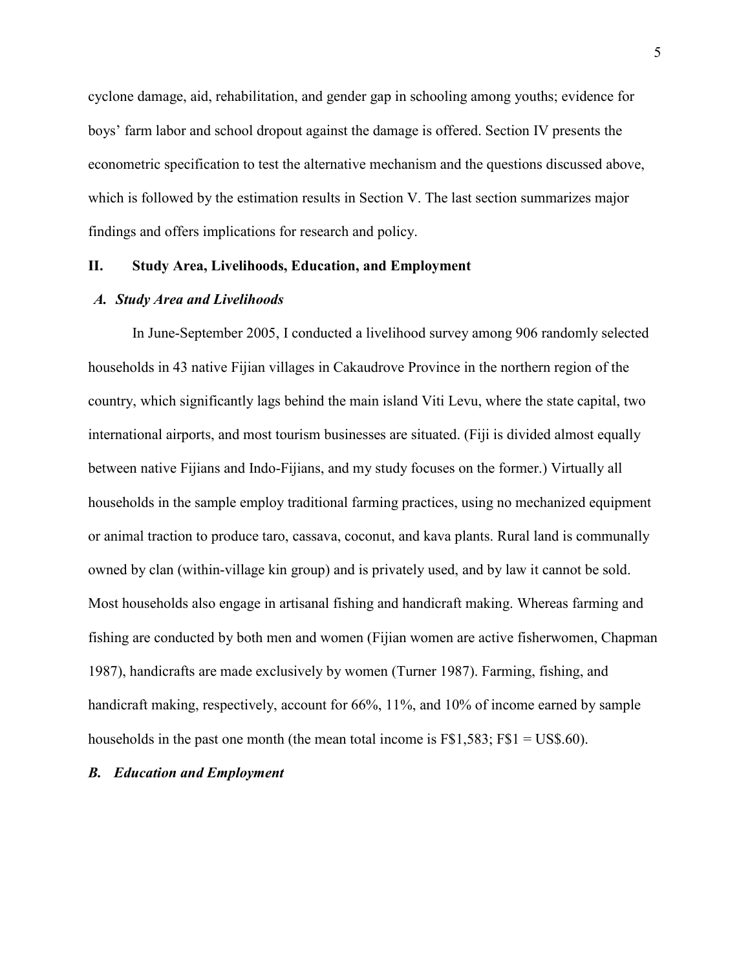cyclone damage, aid, rehabilitation, and gender gap in schooling among youths; evidence for boys' farm labor and school dropout against the damage is offered. Section IV presents the econometric specification to test the alternative mechanism and the questions discussed above, which is followed by the estimation results in Section V. The last section summarizes major findings and offers implications for research and policy.

#### **II. Study Area, Livelihoods, Education, and Employment**

#### *A. Study Area and Livelihoods*

In June-September 2005, I conducted a livelihood survey among 906 randomly selected households in 43 native Fijian villages in Cakaudrove Province in the northern region of the country, which significantly lags behind the main island Viti Levu, where the state capital, two international airports, and most tourism businesses are situated. (Fiji is divided almost equally between native Fijians and Indo-Fijians, and my study focuses on the former.) Virtually all households in the sample employ traditional farming practices, using no mechanized equipment or animal traction to produce taro, cassava, coconut, and kava plants. Rural land is communally owned by clan (within-village kin group) and is privately used, and by law it cannot be sold. Most households also engage in artisanal fishing and handicraft making. Whereas farming and fishing are conducted by both men and women (Fijian women are active fisherwomen, Chapman 1987), handicrafts are made exclusively by women (Turner 1987). Farming, fishing, and handicraft making, respectively, account for 66%, 11%, and 10% of income earned by sample households in the past one month (the mean total income is  $F$1,583$ ;  $F$1 = US$.60$ ).

#### *B. Education and Employment*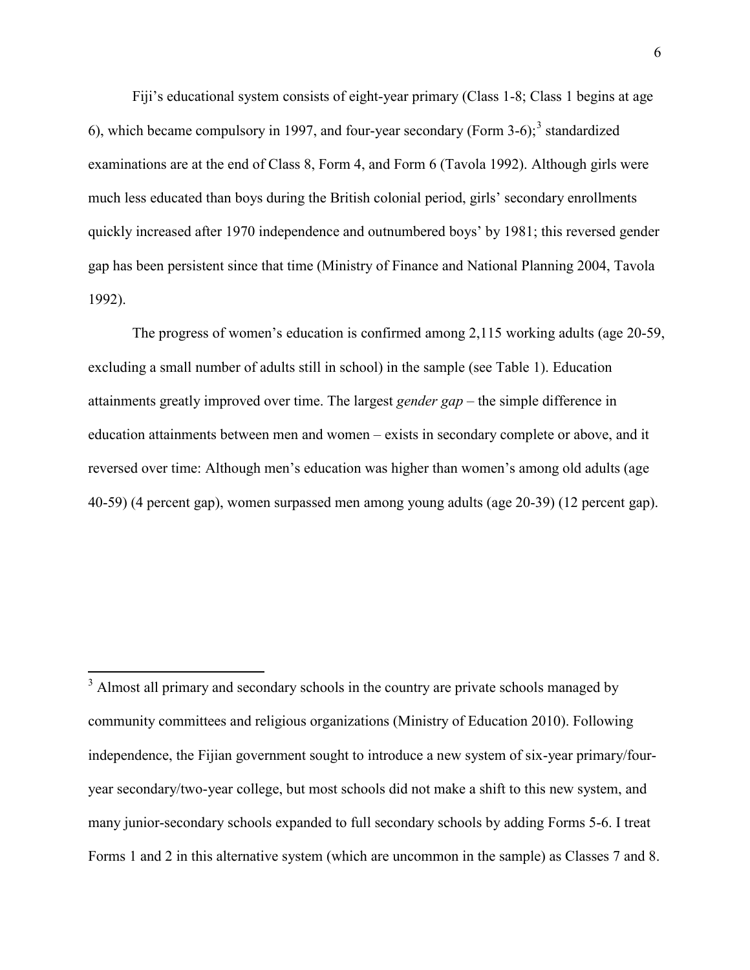Fiji's educational system consists of eight-year primary (Class 1-8; Class 1 begins at age 6), which became compulsory in 1997, and four-year secondary (Form  $3-6$ );<sup>3</sup> standardized examinations are at the end of Class 8, Form 4, and Form 6 (Tavola 1992). Although girls were much less educated than boys during the British colonial period, girls' secondary enrollments quickly increased after 1970 independence and outnumbered boys' by 1981; this reversed gender gap has been persistent since that time (Ministry of Finance and National Planning 2004, Tavola 1992).

The progress of women's education is confirmed among 2,115 working adults (age 20-59, excluding a small number of adults still in school) in the sample (see Table 1). Education attainments greatly improved over time. The largest *gender gap* – the simple difference in education attainments between men and women – exists in secondary complete or above, and it reversed over time: Although men's education was higher than women's among old adults (age 40-59) (4 percent gap), women surpassed men among young adults (age 20-39) (12 percent gap).

<sup>&</sup>lt;sup>3</sup> Almost all primary and secondary schools in the country are private schools managed by community committees and religious organizations (Ministry of Education 2010). Following independence, the Fijian government sought to introduce a new system of six-year primary/fouryear secondary/two-year college, but most schools did not make a shift to this new system, and many junior-secondary schools expanded to full secondary schools by adding Forms 5-6. I treat Forms 1 and 2 in this alternative system (which are uncommon in the sample) as Classes 7 and 8.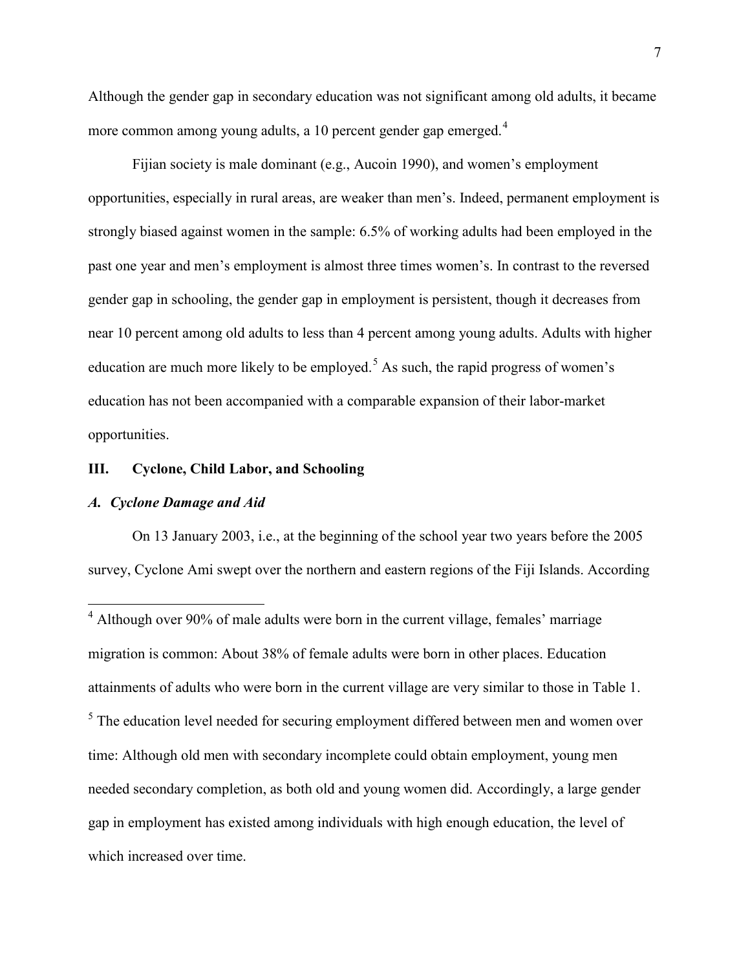Although the gender gap in secondary education was not significant among old adults, it became more common among young adults, a 10 percent gender gap emerged.<sup>4</sup>

Fijian society is male dominant (e.g., Aucoin 1990), and women's employment opportunities, especially in rural areas, are weaker than men's. Indeed, permanent employment is strongly biased against women in the sample: 6.5% of working adults had been employed in the past one year and men's employment is almost three times women's. In contrast to the reversed gender gap in schooling, the gender gap in employment is persistent, though it decreases from near 10 percent among old adults to less than 4 percent among young adults. Adults with higher education are much more likely to be employed.<sup>5</sup> As such, the rapid progress of women's education has not been accompanied with a comparable expansion of their labor-market opportunities.

### **III. Cyclone, Child Labor, and Schooling**

#### *A. Cyclone Damage and Aid*

On 13 January 2003, i.e., at the beginning of the school year two years before the 2005 survey, Cyclone Ami swept over the northern and eastern regions of the Fiji Islands. According

<sup>&</sup>lt;sup>4</sup> Although over 90% of male adults were born in the current village, females' marriage migration is common: About 38% of female adults were born in other places. Education attainments of adults who were born in the current village are very similar to those in Table 1. <sup>5</sup> The education level needed for securing employment differed between men and women over time: Although old men with secondary incomplete could obtain employment, young men needed secondary completion, as both old and young women did. Accordingly, a large gender gap in employment has existed among individuals with high enough education, the level of which increased over time.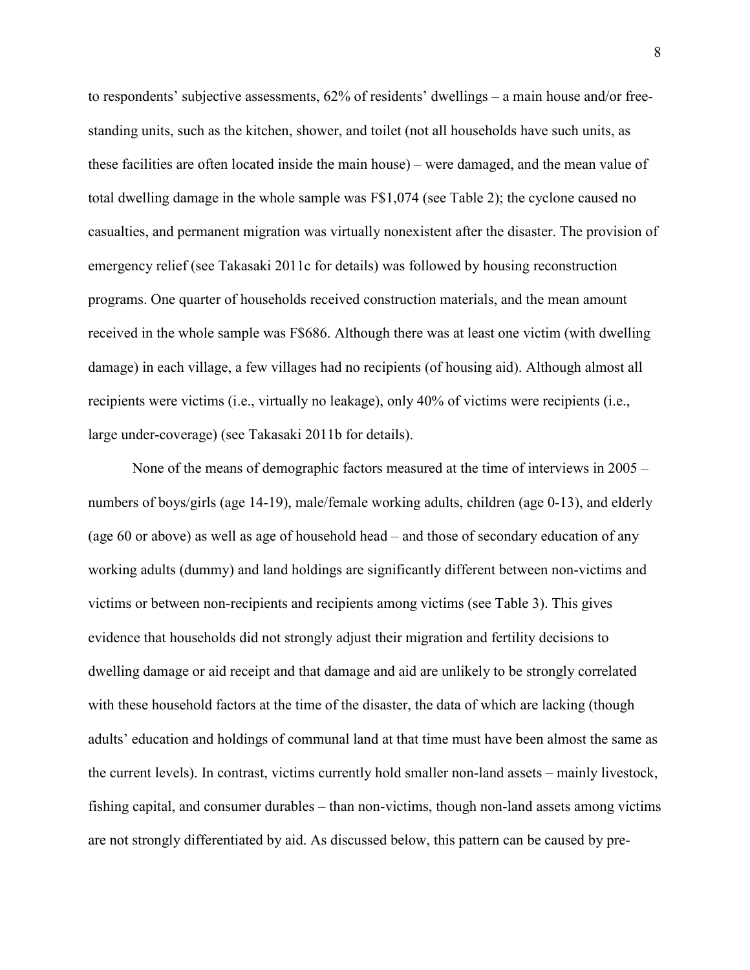to respondents' subjective assessments, 62% of residents' dwellings – a main house and/or freestanding units, such as the kitchen, shower, and toilet (not all households have such units, as these facilities are often located inside the main house) – were damaged, and the mean value of total dwelling damage in the whole sample was F\$1,074 (see Table 2); the cyclone caused no casualties, and permanent migration was virtually nonexistent after the disaster. The provision of emergency relief (see Takasaki 2011c for details) was followed by housing reconstruction programs. One quarter of households received construction materials, and the mean amount received in the whole sample was F\$686. Although there was at least one victim (with dwelling damage) in each village, a few villages had no recipients (of housing aid). Although almost all recipients were victims (i.e., virtually no leakage), only 40% of victims were recipients (i.e., large under-coverage) (see Takasaki 2011b for details).

None of the means of demographic factors measured at the time of interviews in 2005 – numbers of boys/girls (age 14-19), male/female working adults, children (age 0-13), and elderly (age 60 or above) as well as age of household head – and those of secondary education of any working adults (dummy) and land holdings are significantly different between non-victims and victims or between non-recipients and recipients among victims (see Table 3). This gives evidence that households did not strongly adjust their migration and fertility decisions to dwelling damage or aid receipt and that damage and aid are unlikely to be strongly correlated with these household factors at the time of the disaster, the data of which are lacking (though adults' education and holdings of communal land at that time must have been almost the same as the current levels). In contrast, victims currently hold smaller non-land assets – mainly livestock, fishing capital, and consumer durables – than non-victims, though non-land assets among victims are not strongly differentiated by aid. As discussed below, this pattern can be caused by pre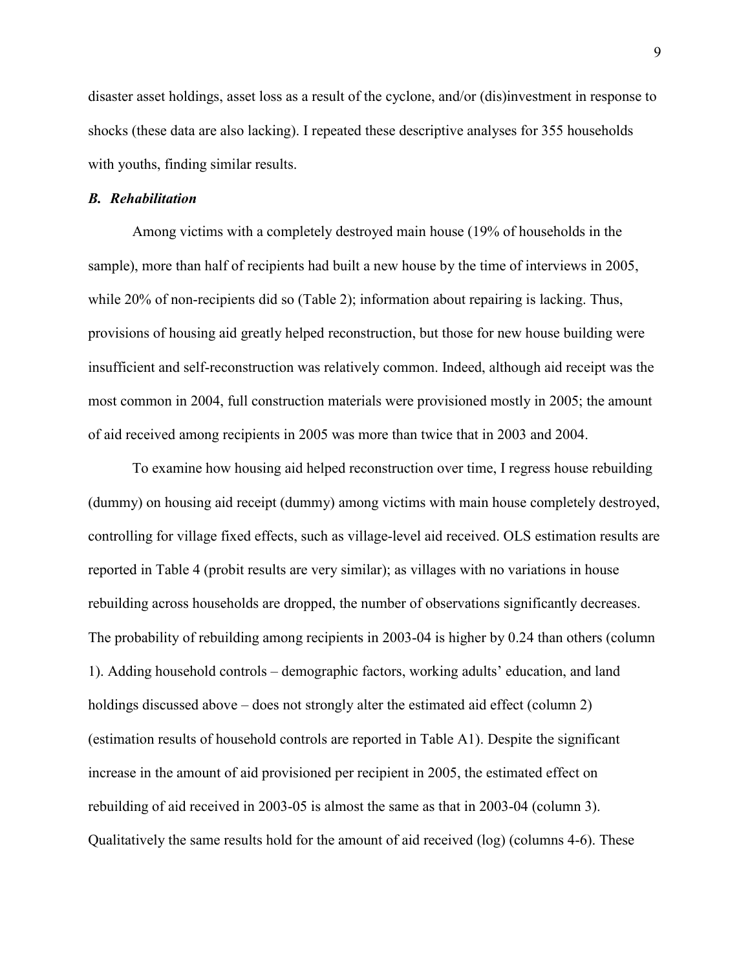disaster asset holdings, asset loss as a result of the cyclone, and/or (dis)investment in response to shocks (these data are also lacking). I repeated these descriptive analyses for 355 households with youths, finding similar results.

#### *B. Rehabilitation*

Among victims with a completely destroyed main house (19% of households in the sample), more than half of recipients had built a new house by the time of interviews in 2005, while 20% of non-recipients did so (Table 2); information about repairing is lacking. Thus, provisions of housing aid greatly helped reconstruction, but those for new house building were insufficient and self-reconstruction was relatively common. Indeed, although aid receipt was the most common in 2004, full construction materials were provisioned mostly in 2005; the amount of aid received among recipients in 2005 was more than twice that in 2003 and 2004.

To examine how housing aid helped reconstruction over time, I regress house rebuilding (dummy) on housing aid receipt (dummy) among victims with main house completely destroyed, controlling for village fixed effects, such as village-level aid received. OLS estimation results are reported in Table 4 (probit results are very similar); as villages with no variations in house rebuilding across households are dropped, the number of observations significantly decreases. The probability of rebuilding among recipients in 2003-04 is higher by 0.24 than others (column 1). Adding household controls – demographic factors, working adults' education, and land holdings discussed above – does not strongly alter the estimated aid effect (column 2) (estimation results of household controls are reported in Table A1). Despite the significant increase in the amount of aid provisioned per recipient in 2005, the estimated effect on rebuilding of aid received in 2003-05 is almost the same as that in 2003-04 (column 3). Qualitatively the same results hold for the amount of aid received (log) (columns 4-6). These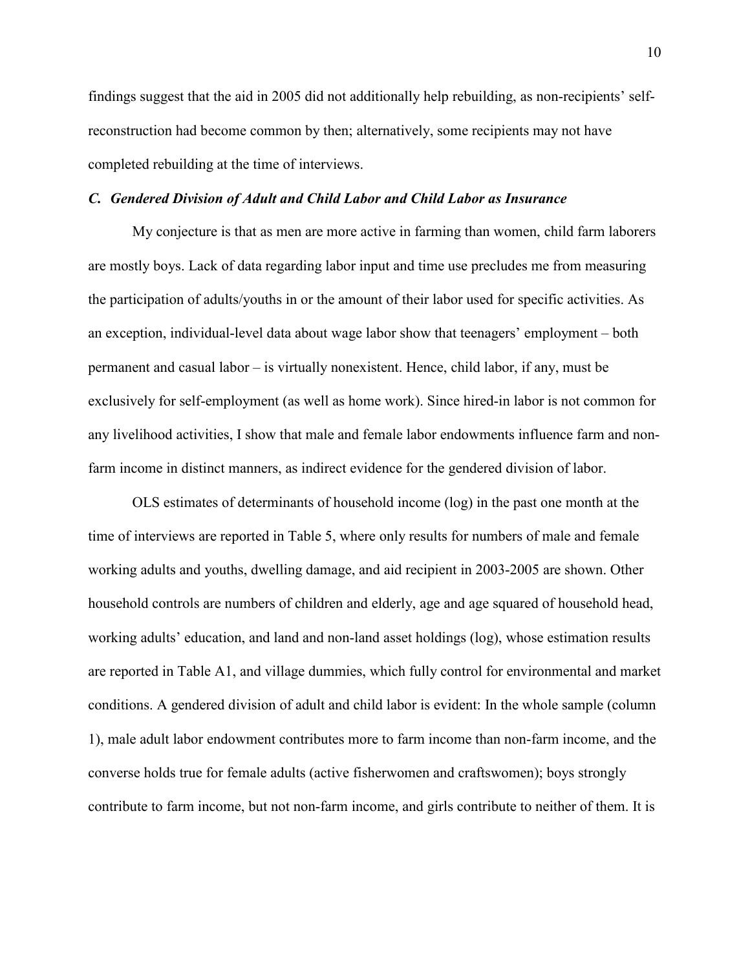findings suggest that the aid in 2005 did not additionally help rebuilding, as non-recipients' selfreconstruction had become common by then; alternatively, some recipients may not have completed rebuilding at the time of interviews.

#### *C. Gendered Division of Adult and Child Labor and Child Labor as Insurance*

My conjecture is that as men are more active in farming than women, child farm laborers are mostly boys. Lack of data regarding labor input and time use precludes me from measuring the participation of adults/youths in or the amount of their labor used for specific activities. As an exception, individual-level data about wage labor show that teenagers' employment – both permanent and casual labor – is virtually nonexistent. Hence, child labor, if any, must be exclusively for self-employment (as well as home work). Since hired-in labor is not common for any livelihood activities, I show that male and female labor endowments influence farm and nonfarm income in distinct manners, as indirect evidence for the gendered division of labor.

OLS estimates of determinants of household income (log) in the past one month at the time of interviews are reported in Table 5, where only results for numbers of male and female working adults and youths, dwelling damage, and aid recipient in 2003-2005 are shown. Other household controls are numbers of children and elderly, age and age squared of household head, working adults' education, and land and non-land asset holdings (log), whose estimation results are reported in Table A1, and village dummies, which fully control for environmental and market conditions. A gendered division of adult and child labor is evident: In the whole sample (column 1), male adult labor endowment contributes more to farm income than non-farm income, and the converse holds true for female adults (active fisherwomen and craftswomen); boys strongly contribute to farm income, but not non-farm income, and girls contribute to neither of them. It is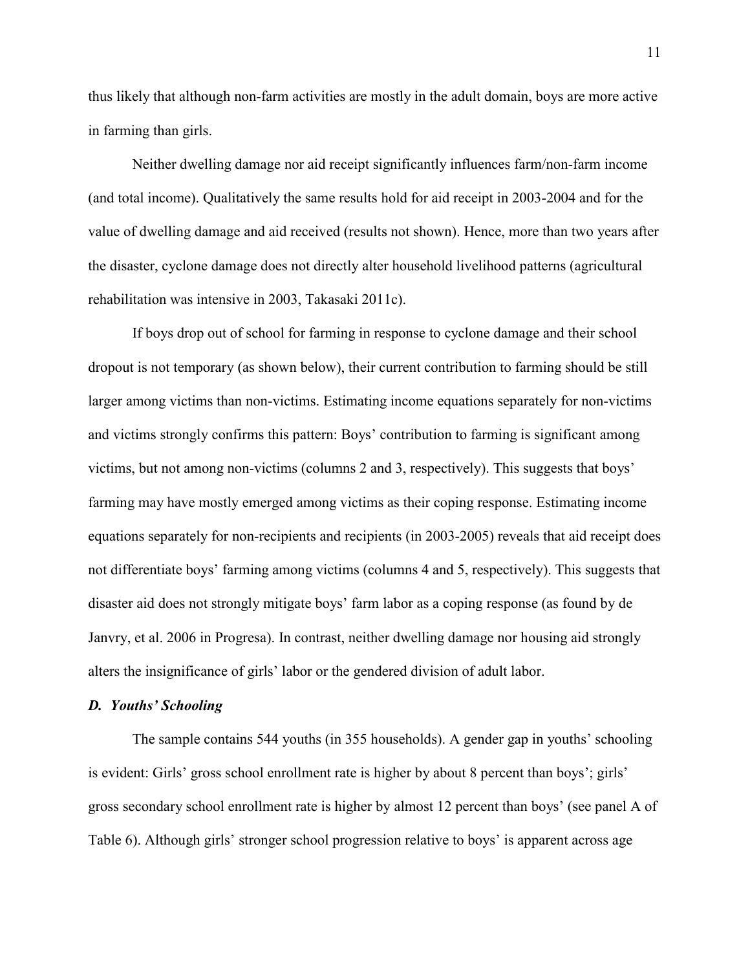thus likely that although non-farm activities are mostly in the adult domain, boys are more active in farming than girls.

Neither dwelling damage nor aid receipt significantly influences farm/non-farm income (and total income). Qualitatively the same results hold for aid receipt in 2003-2004 and for the value of dwelling damage and aid received (results not shown). Hence, more than two years after the disaster, cyclone damage does not directly alter household livelihood patterns (agricultural rehabilitation was intensive in 2003, Takasaki 2011c).

If boys drop out of school for farming in response to cyclone damage and their school dropout is not temporary (as shown below), their current contribution to farming should be still larger among victims than non-victims. Estimating income equations separately for non-victims and victims strongly confirms this pattern: Boys' contribution to farming is significant among victims, but not among non-victims (columns 2 and 3, respectively). This suggests that boys' farming may have mostly emerged among victims as their coping response. Estimating income equations separately for non-recipients and recipients (in 2003-2005) reveals that aid receipt does not differentiate boys' farming among victims (columns 4 and 5, respectively). This suggests that disaster aid does not strongly mitigate boys' farm labor as a coping response (as found by de Janvry, et al. 2006 in Progresa). In contrast, neither dwelling damage nor housing aid strongly alters the insignificance of girls' labor or the gendered division of adult labor.

#### *D. Youths' Schooling*

The sample contains 544 youths (in 355 households). A gender gap in youths' schooling is evident: Girls' gross school enrollment rate is higher by about 8 percent than boys'; girls' gross secondary school enrollment rate is higher by almost 12 percent than boys' (see panel A of Table 6). Although girls' stronger school progression relative to boys' is apparent across age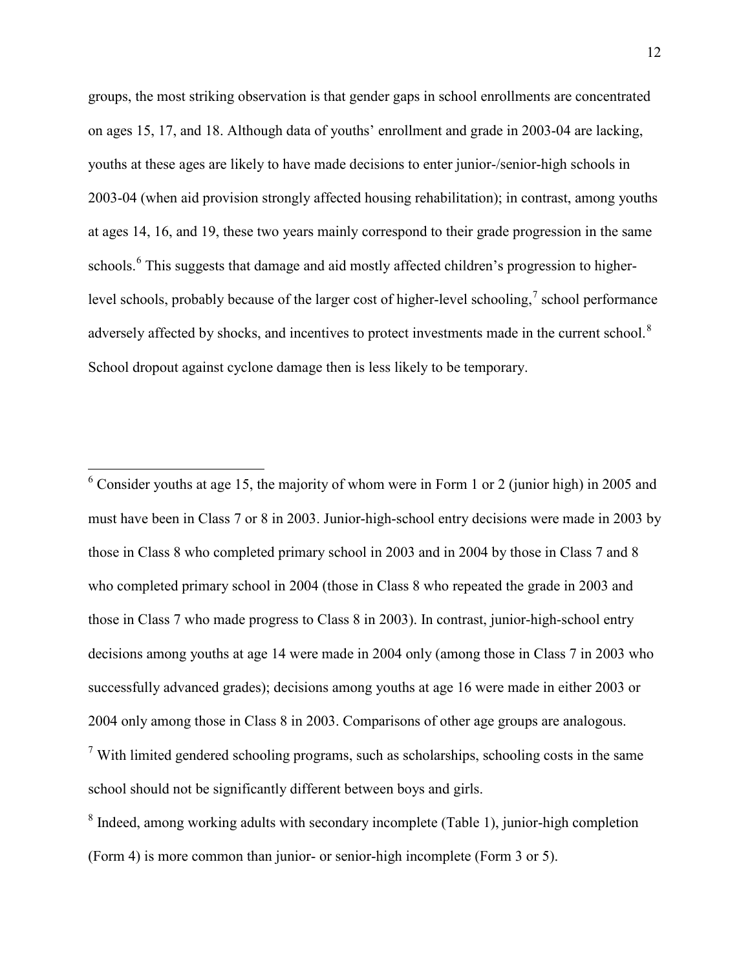groups, the most striking observation is that gender gaps in school enrollments are concentrated on ages 15, 17, and 18. Although data of youths' enrollment and grade in 2003-04 are lacking, youths at these ages are likely to have made decisions to enter junior-/senior-high schools in 2003-04 (when aid provision strongly affected housing rehabilitation); in contrast, among youths at ages 14, 16, and 19, these two years mainly correspond to their grade progression in the same schools.<sup>6</sup> This suggests that damage and aid mostly affected children's progression to higherlevel schools, probably because of the larger cost of higher-level schooling,<sup>7</sup> school performance adversely affected by shocks, and incentives to protect investments made in the current school.<sup>8</sup> School dropout against cyclone damage then is less likely to be temporary.

 $6$  Consider youths at age 15, the majority of whom were in Form 1 or 2 (junior high) in 2005 and must have been in Class 7 or 8 in 2003. Junior-high-school entry decisions were made in 2003 by those in Class 8 who completed primary school in 2003 and in 2004 by those in Class 7 and 8 who completed primary school in 2004 (those in Class 8 who repeated the grade in 2003 and those in Class 7 who made progress to Class 8 in 2003). In contrast, junior-high-school entry decisions among youths at age 14 were made in 2004 only (among those in Class 7 in 2003 who successfully advanced grades); decisions among youths at age 16 were made in either 2003 or 2004 only among those in Class 8 in 2003. Comparisons of other age groups are analogous.  $<sup>7</sup>$  With limited gendered schooling programs, such as scholarships, schooling costs in the same</sup> school should not be significantly different between boys and girls.

<sup>&</sup>lt;sup>8</sup> Indeed, among working adults with secondary incomplete (Table 1), junior-high completion (Form 4) is more common than junior- or senior-high incomplete (Form 3 or 5).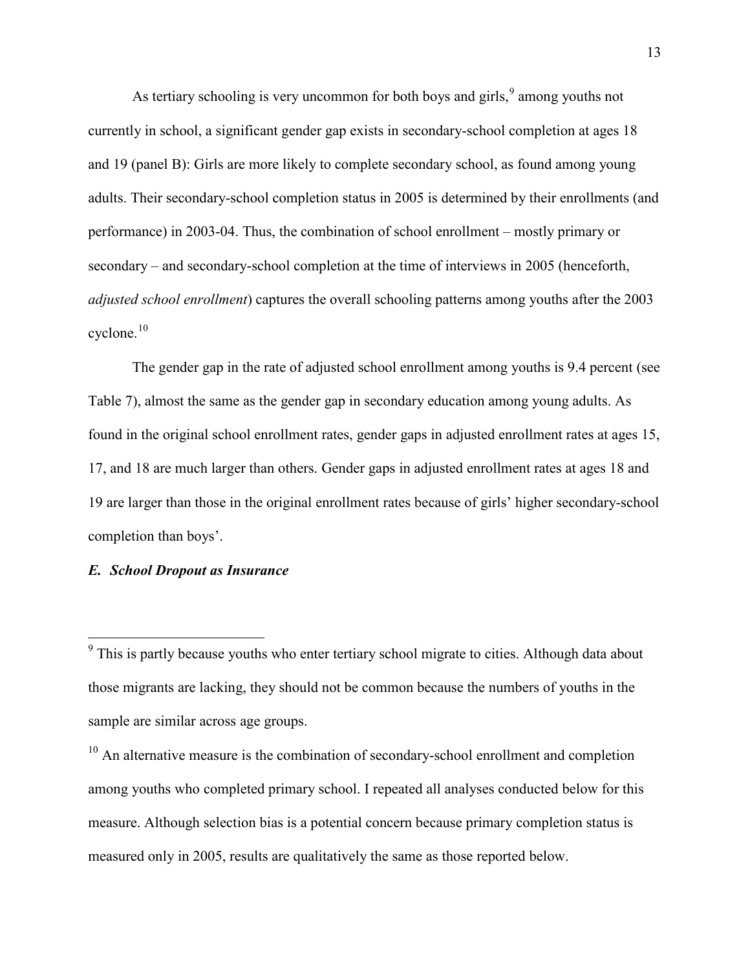As tertiary schooling is very uncommon for both boys and girls, <sup>9</sup> among youths not currently in school, a significant gender gap exists in secondary-school completion at ages 18 and 19 (panel B): Girls are more likely to complete secondary school, as found among young adults. Their secondary-school completion status in 2005 is determined by their enrollments (and performance) in 2003-04. Thus, the combination of school enrollment – mostly primary or secondary – and secondary-school completion at the time of interviews in 2005 (henceforth, *adjusted school enrollment*) captures the overall schooling patterns among youths after the 2003 cyclone.<sup>10</sup>

The gender gap in the rate of adjusted school enrollment among youths is 9.4 percent (see Table 7), almost the same as the gender gap in secondary education among young adults. As found in the original school enrollment rates, gender gaps in adjusted enrollment rates at ages 15, 17, and 18 are much larger than others. Gender gaps in adjusted enrollment rates at ages 18 and 19 are larger than those in the original enrollment rates because of girls' higher secondary-school completion than boys'.

### *E. School Dropout as Insurance*

<sup>10</sup> An alternative measure is the combination of secondary-school enrollment and completion among youths who completed primary school. I repeated all analyses conducted below for this measure. Although selection bias is a potential concern because primary completion status is measured only in 2005, results are qualitatively the same as those reported below.

<sup>&</sup>lt;sup>9</sup> This is partly because youths who enter tertiary school migrate to cities. Although data about those migrants are lacking, they should not be common because the numbers of youths in the sample are similar across age groups.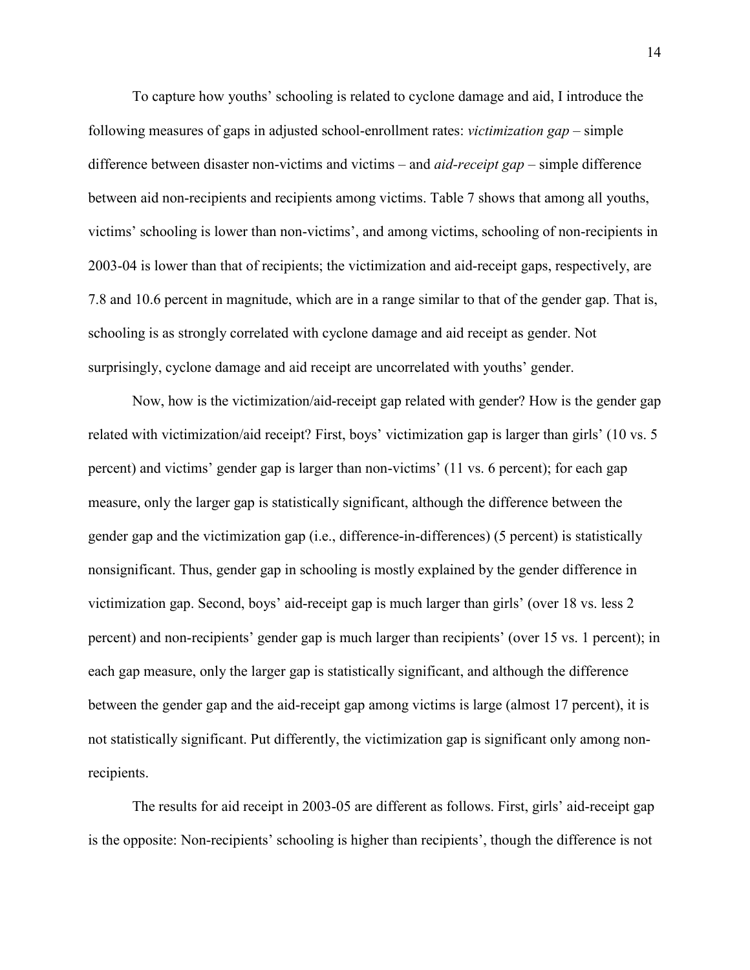To capture how youths' schooling is related to cyclone damage and aid, I introduce the following measures of gaps in adjusted school-enrollment rates: *victimization gap* – simple difference between disaster non-victims and victims – and *aid-receipt gap* – simple difference between aid non-recipients and recipients among victims. Table 7 shows that among all youths, victims' schooling is lower than non-victims', and among victims, schooling of non-recipients in 2003-04 is lower than that of recipients; the victimization and aid-receipt gaps, respectively, are 7.8 and 10.6 percent in magnitude, which are in a range similar to that of the gender gap. That is, schooling is as strongly correlated with cyclone damage and aid receipt as gender. Not surprisingly, cyclone damage and aid receipt are uncorrelated with youths' gender.

Now, how is the victimization/aid-receipt gap related with gender? How is the gender gap related with victimization/aid receipt? First, boys' victimization gap is larger than girls' (10 vs. 5 percent) and victims' gender gap is larger than non-victims' (11 vs. 6 percent); for each gap measure, only the larger gap is statistically significant, although the difference between the gender gap and the victimization gap (i.e., difference-in-differences) (5 percent) is statistically nonsignificant. Thus, gender gap in schooling is mostly explained by the gender difference in victimization gap. Second, boys' aid-receipt gap is much larger than girls' (over 18 vs. less 2 percent) and non-recipients' gender gap is much larger than recipients' (over 15 vs. 1 percent); in each gap measure, only the larger gap is statistically significant, and although the difference between the gender gap and the aid-receipt gap among victims is large (almost 17 percent), it is not statistically significant. Put differently, the victimization gap is significant only among nonrecipients.

The results for aid receipt in 2003-05 are different as follows. First, girls' aid-receipt gap is the opposite: Non-recipients' schooling is higher than recipients', though the difference is not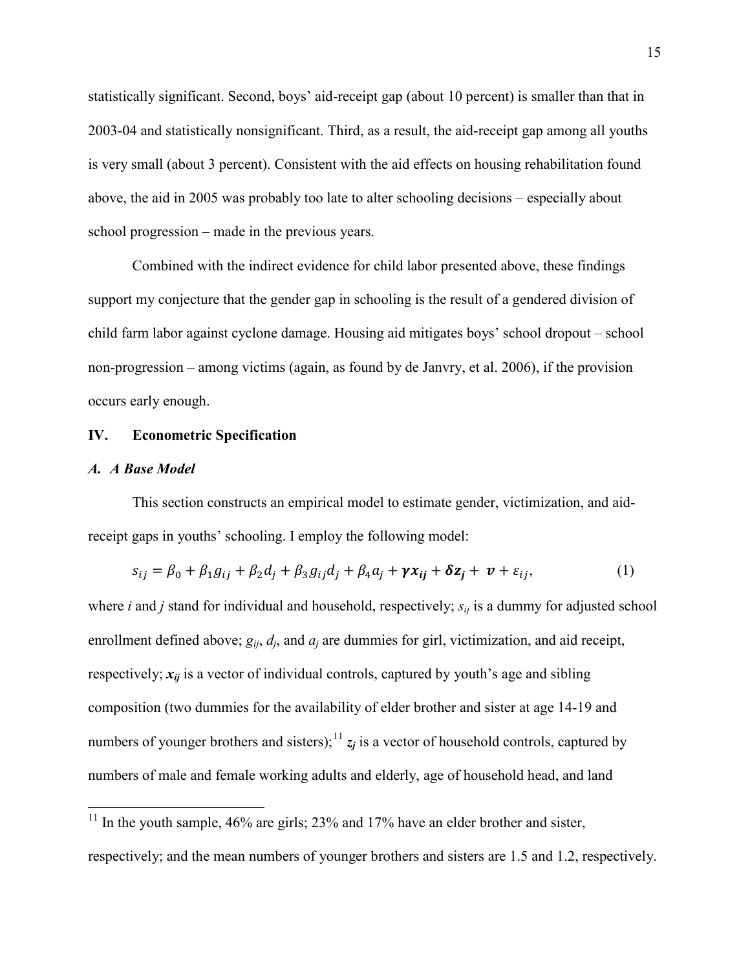statistically significant. Second, boys' aid-receipt gap (about 10 percent) is smaller than that in 2003-04 and statistically nonsignificant. Third, as a result, the aid-receipt gap among all youths is very small (about 3 percent). Consistent with the aid effects on housing rehabilitation found above, the aid in 2005 was probably too late to alter schooling decisions – especially about school progression – made in the previous years.

Combined with the indirect evidence for child labor presented above, these findings support my conjecture that the gender gap in schooling is the result of a gendered division of child farm labor against cyclone damage. Housing aid mitigates boys' school dropout – school non-progression – among victims (again, as found by de Janvry, et al. 2006), if the provision occurs early enough.

#### **IV. Econometric Specification**

#### *A. A Base Model*

This section constructs an empirical model to estimate gender, victimization, and aidreceipt gaps in youths' schooling. I employ the following model:

$$
s_{ij} = \beta_0 + \beta_1 g_{ij} + \beta_2 d_j + \beta_3 g_{ij} d_j + \beta_4 a_j + \gamma x_{ij} + \delta z_j + \nu + \varepsilon_{ij},
$$
\n(1)

where *i* and *j* stand for individual and household, respectively;  $s_{ij}$  is a dummy for adjusted school enrollment defined above; *gij*, *dj*, and *aj* are dummies for girl, victimization, and aid receipt, respectively;  $x_{ii}$  is a vector of individual controls, captured by youth's age and sibling composition (two dummies for the availability of elder brother and sister at age 14-19 and numbers of younger brothers and sisters);<sup>11</sup>  $z_j$  is a vector of household controls, captured by numbers of male and female working adults and elderly, age of household head, and land

<sup>&</sup>lt;sup>11</sup> In the youth sample, 46% are girls; 23% and 17% have an elder brother and sister, respectively; and the mean numbers of younger brothers and sisters are 1.5 and 1.2, respectively.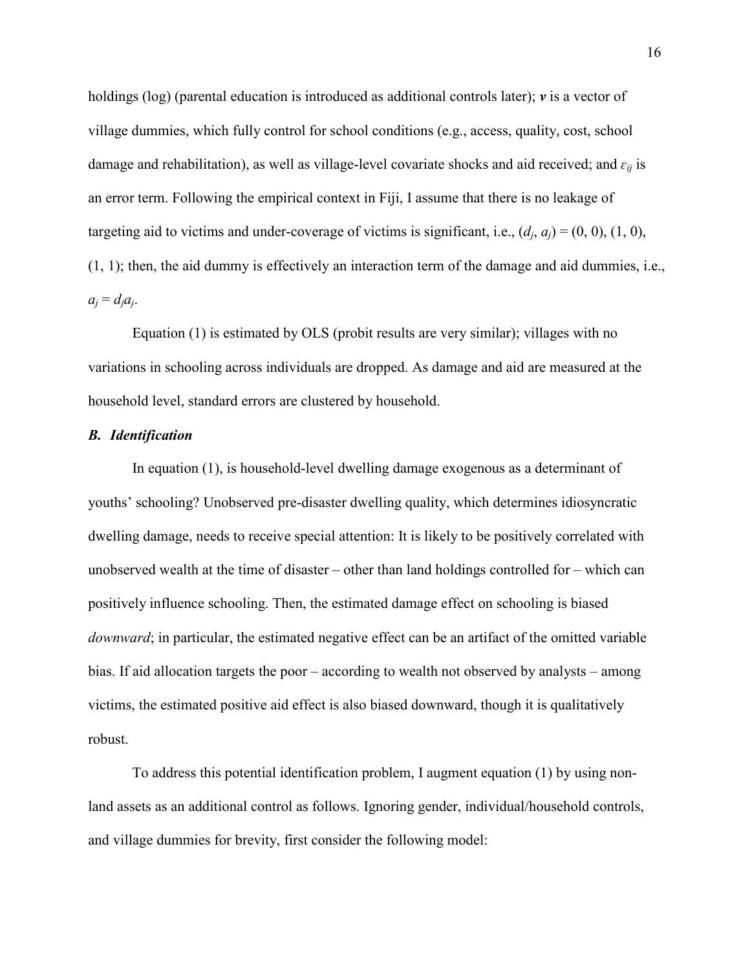holdings (log) (parental education is introduced as additional controls later);  $\nu$  is a vector of village dummies, which fully control for school conditions (e.g., access, quality, cost, school damage and rehabilitation), as well as village-level covariate shocks and aid received; and  $\epsilon_{ii}$  is an error term. Following the empirical context in Fiji, I assume that there is no leakage of targeting aid to victims and under-coverage of victims is significant, i.e.,  $(d_i, a_j) = (0, 0), (1, 0),$ (1, 1); then, the aid dummy is effectively an interaction term of the damage and aid dummies, i.e.,  $a_i = d_i a_i$ .

Equation (1) is estimated by OLS (probit results are very similar); villages with no variations in schooling across individuals are dropped. As damage and aid are measured at the household level, standard errors are clustered by household.

#### *B. Identification*

In equation (1), is household-level dwelling damage exogenous as a determinant of youths' schooling? Unobserved pre-disaster dwelling quality, which determines idiosyncratic dwelling damage, needs to receive special attention: It is likely to be positively correlated with unobserved wealth at the time of disaster – other than land holdings controlled for – which can positively influence schooling. Then, the estimated damage effect on schooling is biased *downward*; in particular, the estimated negative effect can be an artifact of the omitted variable bias. If aid allocation targets the poor – according to wealth not observed by analysts – among victims, the estimated positive aid effect is also biased downward, though it is qualitatively robust.

To address this potential identification problem, I augment equation (1) by using nonland assets as an additional control as follows. Ignoring gender, individual/household controls, and village dummies for brevity, first consider the following model: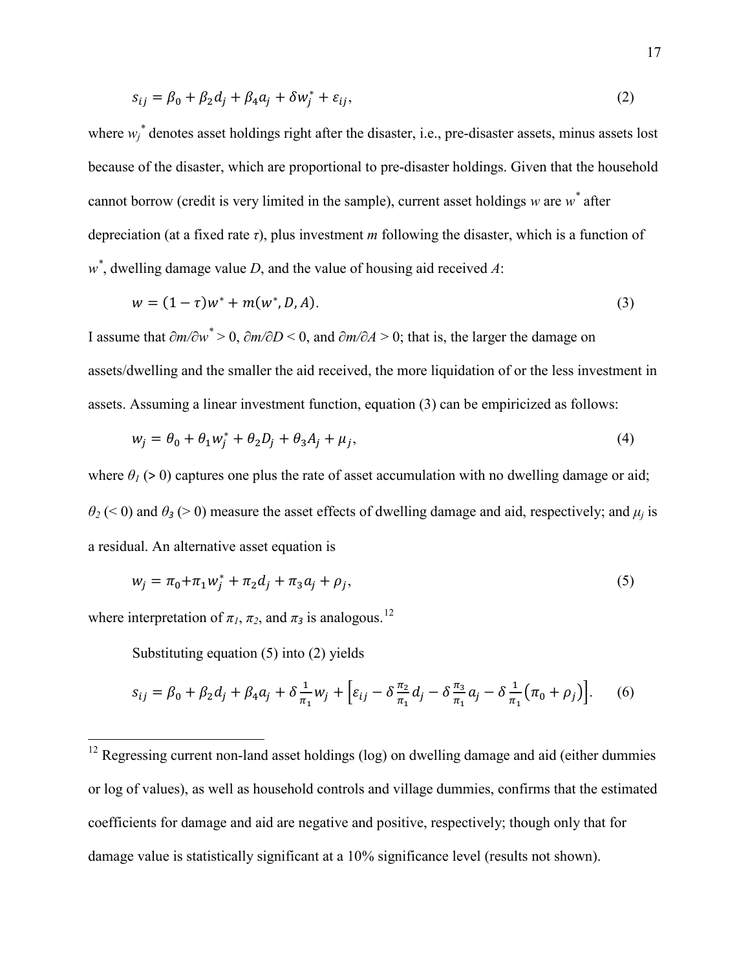$$
s_{ij} = \beta_0 + \beta_2 d_j + \beta_4 a_j + \delta w_j^* + \varepsilon_{ij},\tag{2}
$$

where  $w_j^*$  denotes asset holdings right after the disaster, i.e., pre-disaster assets, minus assets lost because of the disaster, which are proportional to pre-disaster holdings. Given that the household cannot borrow (credit is very limited in the sample), current asset holdings *w* are *w\** after depreciation (at a fixed rate  $\tau$ ), plus investment *m* following the disaster, which is a function of *w\** , dwelling damage value *D*, and the value of housing aid received *A*:

$$
w = (1 - \tau)w^* + m(w^*, D, A). \tag{3}
$$

I assume that  $\partial m / \partial w^* > 0$ ,  $\partial m / \partial D < 0$ , and  $\partial m / \partial A > 0$ ; that is, the larger the damage on assets/dwelling and the smaller the aid received, the more liquidation of or the less investment in assets. Assuming a linear investment function, equation (3) can be empiricized as follows:

$$
w_j = \theta_0 + \theta_1 w_j^* + \theta_2 D_j + \theta_3 A_j + \mu_j, \qquad (4)
$$

where  $\theta_l$  (> 0) captures one plus the rate of asset accumulation with no dwelling damage or aid;  $\theta_2$  (< 0) and  $\theta_3$  (> 0) measure the asset effects of dwelling damage and aid, respectively; and  $\mu_i$  is a residual. An alternative asset equation is

$$
w_j = \pi_0 + \pi_1 w_j^* + \pi_2 d_j + \pi_3 a_j + \rho_j,
$$
\n(5)

where interpretation of  $\pi_l$ ,  $\pi_2$ , and  $\pi_3$  is analogous.<sup>12</sup>

Substituting equation (5) into (2) yields

$$
s_{ij} = \beta_0 + \beta_2 d_j + \beta_4 a_j + \delta \frac{1}{\pi_1} w_j + \left[ \varepsilon_{ij} - \delta \frac{\pi_2}{\pi_1} d_j - \delta \frac{\pi_3}{\pi_1} a_j - \delta \frac{1}{\pi_1} (\pi_0 + \rho_j) \right].
$$
 (6)

<sup>&</sup>lt;sup>12</sup> Regressing current non-land asset holdings (log) on dwelling damage and aid (either dummies or log of values), as well as household controls and village dummies, confirms that the estimated coefficients for damage and aid are negative and positive, respectively; though only that for damage value is statistically significant at a 10% significance level (results not shown).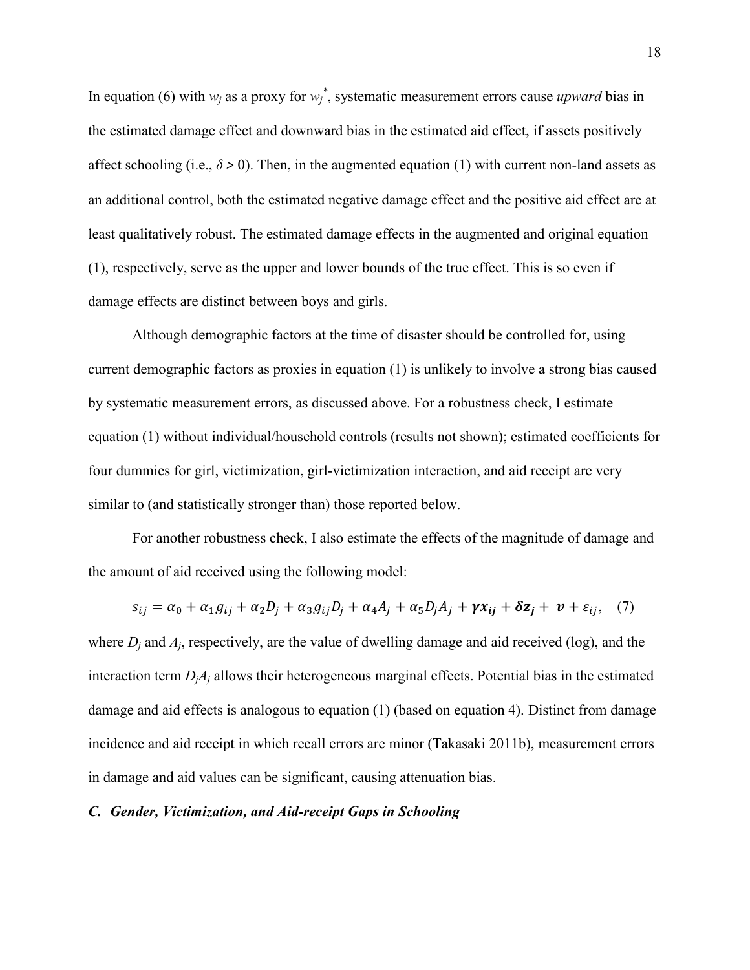In equation (6) with  $w_j$  as a proxy for  $w_j^*$ , systematic measurement errors cause *upward* bias in the estimated damage effect and downward bias in the estimated aid effect, if assets positively affect schooling (i.e.,  $\delta$  > 0). Then, in the augmented equation (1) with current non-land assets as an additional control, both the estimated negative damage effect and the positive aid effect are at least qualitatively robust. The estimated damage effects in the augmented and original equation (1), respectively, serve as the upper and lower bounds of the true effect. This is so even if damage effects are distinct between boys and girls.

Although demographic factors at the time of disaster should be controlled for, using current demographic factors as proxies in equation (1) is unlikely to involve a strong bias caused by systematic measurement errors, as discussed above. For a robustness check, I estimate equation (1) without individual/household controls (results not shown); estimated coefficients for four dummies for girl, victimization, girl-victimization interaction, and aid receipt are very similar to (and statistically stronger than) those reported below.

For another robustness check, I also estimate the effects of the magnitude of damage and the amount of aid received using the following model:

$$
s_{ij} = \alpha_0 + \alpha_1 g_{ij} + \alpha_2 D_j + \alpha_3 g_{ij} D_j + \alpha_4 A_j + \alpha_5 D_j A_j + \gamma x_{ij} + \delta z_j + \nu + \varepsilon_{ij}, \quad (7)
$$

where  $D_i$  and  $A_i$ , respectively, are the value of dwelling damage and aid received (log), and the interaction term  $D_iA_j$  allows their heterogeneous marginal effects. Potential bias in the estimated damage and aid effects is analogous to equation (1) (based on equation 4). Distinct from damage incidence and aid receipt in which recall errors are minor (Takasaki 2011b), measurement errors in damage and aid values can be significant, causing attenuation bias.

#### *C. Gender, Victimization, and Aid-receipt Gaps in Schooling*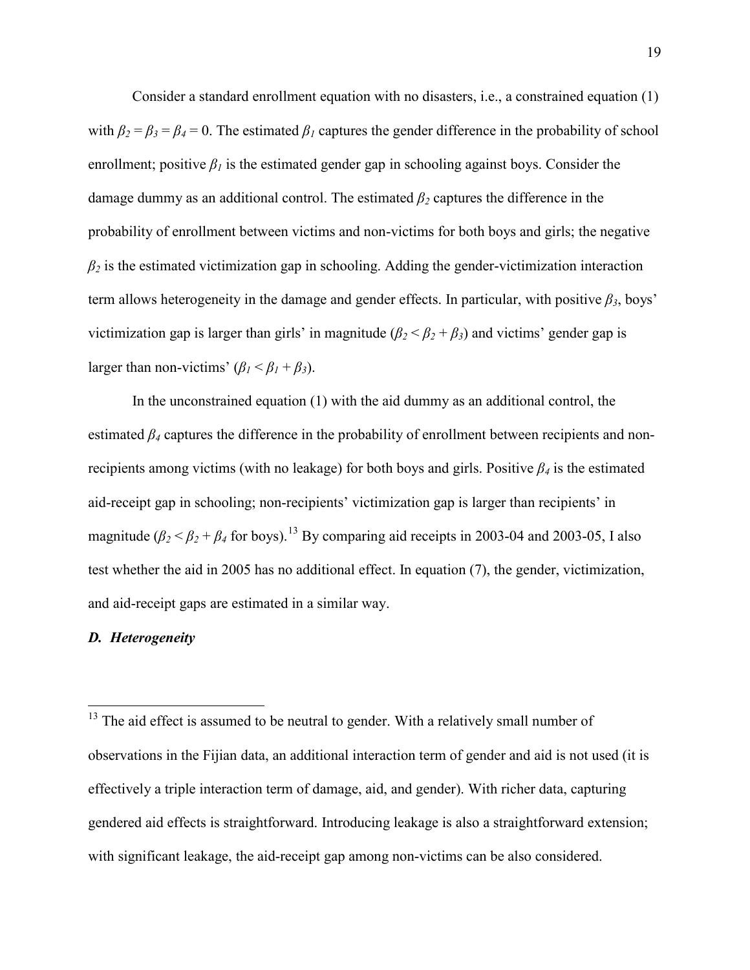Consider a standard enrollment equation with no disasters, i.e., a constrained equation (1) with  $\beta_2 = \beta_3 = \beta_4 = 0$ . The estimated  $\beta_1$  captures the gender difference in the probability of school enrollment; positive  $\beta_l$  is the estimated gender gap in schooling against boys. Consider the damage dummy as an additional control. The estimated  $\beta_2$  captures the difference in the probability of enrollment between victims and non-victims for both boys and girls; the negative  $\beta_2$  is the estimated victimization gap in schooling. Adding the gender-victimization interaction term allows heterogeneity in the damage and gender effects. In particular, with positive  $\beta_3$ , boys' victimization gap is larger than girls' in magnitude  $(\beta_2 < \beta_2 + \beta_3)$  and victims' gender gap is larger than non-victims'  $(\beta_1 < \beta_1 + \beta_3)$ .

In the unconstrained equation (1) with the aid dummy as an additional control, the estimated  $\beta_4$  captures the difference in the probability of enrollment between recipients and nonrecipients among victims (with no leakage) for both boys and girls. Positive  $\beta_4$  is the estimated aid-receipt gap in schooling; non-recipients' victimization gap is larger than recipients' in magnitude  $(\beta_2 < \beta_2 + \beta_4$  for boys).<sup>13</sup> By comparing aid receipts in 2003-04 and 2003-05, I also test whether the aid in 2005 has no additional effect. In equation (7), the gender, victimization, and aid-receipt gaps are estimated in a similar way.

#### *D. Heterogeneity*

 $13$  The aid effect is assumed to be neutral to gender. With a relatively small number of observations in the Fijian data, an additional interaction term of gender and aid is not used (it is effectively a triple interaction term of damage, aid, and gender). With richer data, capturing gendered aid effects is straightforward. Introducing leakage is also a straightforward extension; with significant leakage, the aid-receipt gap among non-victims can be also considered.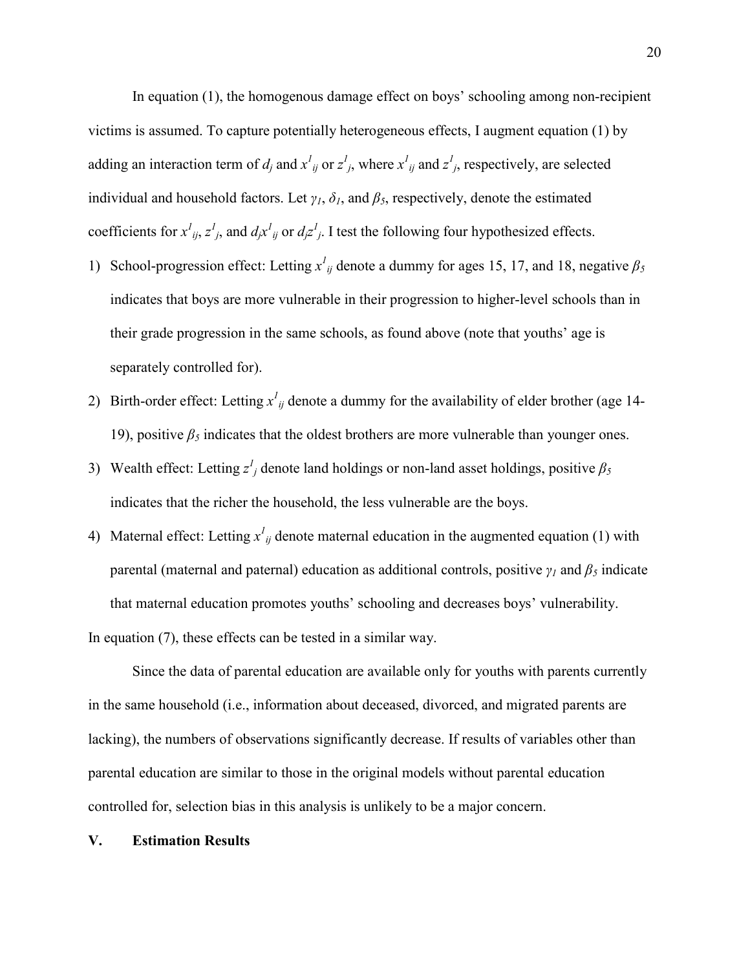In equation (1), the homogenous damage effect on boys' schooling among non-recipient victims is assumed. To capture potentially heterogeneous effects, I augment equation (1) by adding an interaction term of  $d_j$  and  $x^l_{ij}$  or  $z^l_{j}$ , where  $x^l_{ij}$  and  $z^l_{j}$ , respectively, are selected individual and household factors. Let  $\gamma$ <sup>*1*</sup>,  $\delta$ <sup>*1*</sup>, and  $\beta$ <sup>5</sup>, respectively, denote the estimated coefficients for  $x^l_{ij}$ ,  $z^l_j$ , and  $d_jx^l_{ij}$  or  $d_jz^j_j$ . I test the following four hypothesized effects.

- 1) School-progression effect: Letting  $x^l_{ij}$  denote a dummy for ages 15, 17, and 18, negative  $\beta_5$ indicates that boys are more vulnerable in their progression to higher-level schools than in their grade progression in the same schools, as found above (note that youths' age is separately controlled for).
- 2) Birth-order effect: Letting  $x^l_{ij}$  denote a dummy for the availability of elder brother (age 14-19), positive  $\beta_5$  indicates that the oldest brothers are more vulnerable than younger ones.
- 3) Wealth effect: Letting  $z^j_j$  denote land holdings or non-land asset holdings, positive  $\beta_5$ indicates that the richer the household, the less vulnerable are the boys.
- 4) Maternal effect: Letting  $x^l_{ij}$  denote maternal education in the augmented equation (1) with parental (maternal and paternal) education as additional controls, positive  $\gamma_l$  and  $\beta_5$  indicate that maternal education promotes youths' schooling and decreases boys' vulnerability. In equation (7), these effects can be tested in a similar way.

Since the data of parental education are available only for youths with parents currently in the same household (i.e., information about deceased, divorced, and migrated parents are lacking), the numbers of observations significantly decrease. If results of variables other than parental education are similar to those in the original models without parental education controlled for, selection bias in this analysis is unlikely to be a major concern.

#### **V. Estimation Results**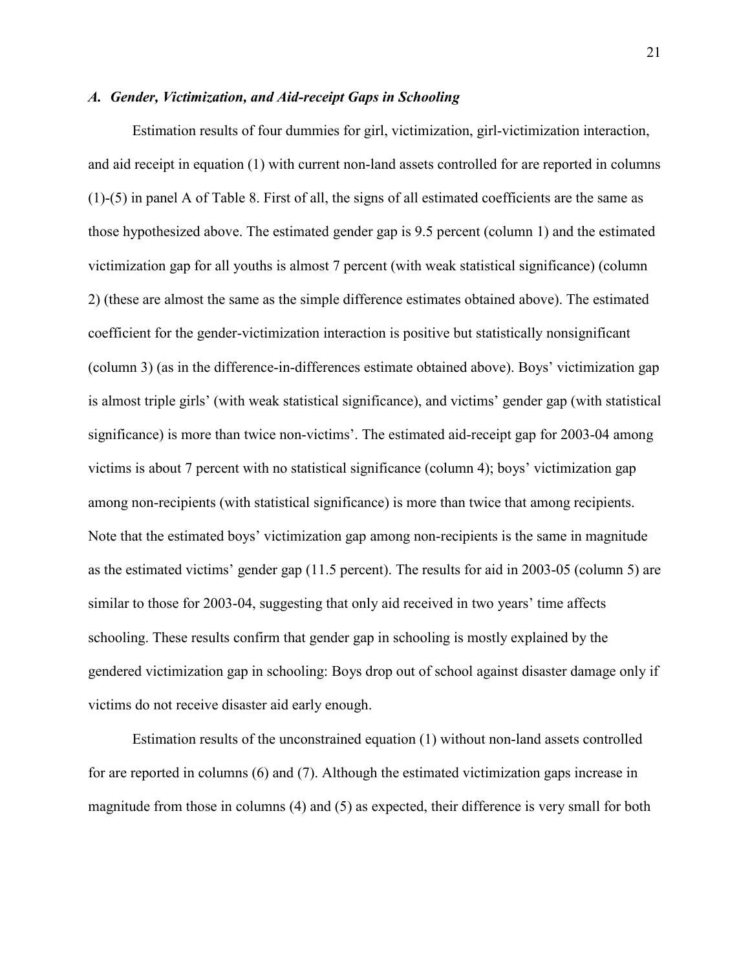#### *A. Gender, Victimization, and Aid-receipt Gaps in Schooling*

Estimation results of four dummies for girl, victimization, girl-victimization interaction, and aid receipt in equation (1) with current non-land assets controlled for are reported in columns (1)-(5) in panel A of Table 8. First of all, the signs of all estimated coefficients are the same as those hypothesized above. The estimated gender gap is 9.5 percent (column 1) and the estimated victimization gap for all youths is almost 7 percent (with weak statistical significance) (column 2) (these are almost the same as the simple difference estimates obtained above). The estimated coefficient for the gender-victimization interaction is positive but statistically nonsignificant (column 3) (as in the difference-in-differences estimate obtained above). Boys' victimization gap is almost triple girls' (with weak statistical significance), and victims' gender gap (with statistical significance) is more than twice non-victims'. The estimated aid-receipt gap for 2003-04 among victims is about 7 percent with no statistical significance (column 4); boys' victimization gap among non-recipients (with statistical significance) is more than twice that among recipients. Note that the estimated boys' victimization gap among non-recipients is the same in magnitude as the estimated victims' gender gap (11.5 percent). The results for aid in 2003-05 (column 5) are similar to those for 2003-04, suggesting that only aid received in two years' time affects schooling. These results confirm that gender gap in schooling is mostly explained by the gendered victimization gap in schooling: Boys drop out of school against disaster damage only if victims do not receive disaster aid early enough.

Estimation results of the unconstrained equation (1) without non-land assets controlled for are reported in columns (6) and (7). Although the estimated victimization gaps increase in magnitude from those in columns (4) and (5) as expected, their difference is very small for both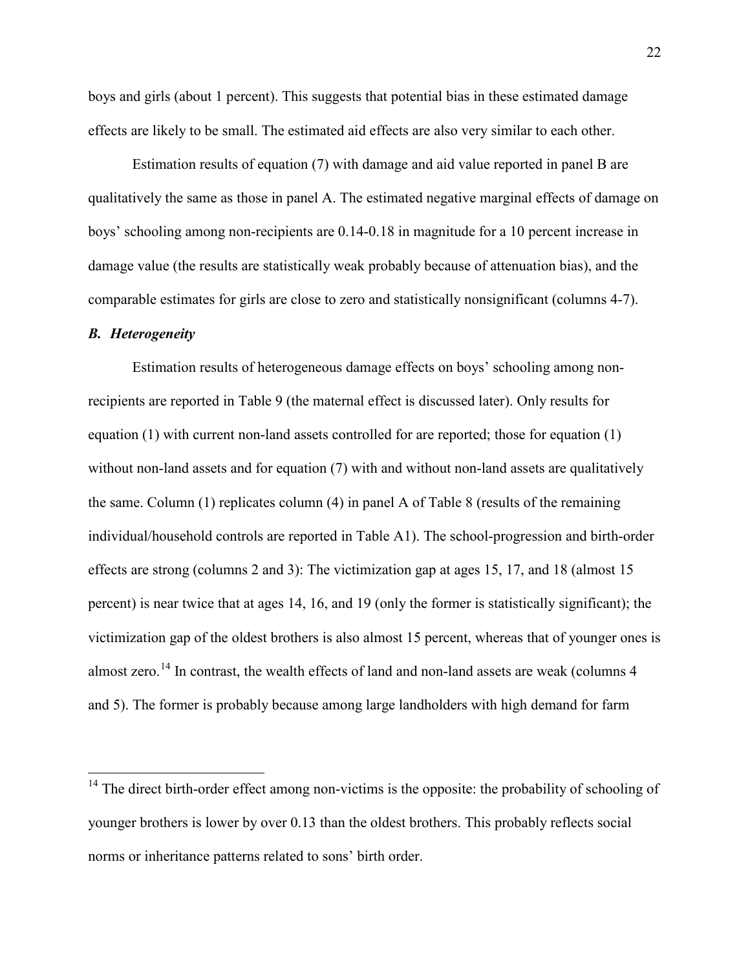boys and girls (about 1 percent). This suggests that potential bias in these estimated damage effects are likely to be small. The estimated aid effects are also very similar to each other.

Estimation results of equation (7) with damage and aid value reported in panel B are qualitatively the same as those in panel A. The estimated negative marginal effects of damage on boys' schooling among non-recipients are 0.14-0.18 in magnitude for a 10 percent increase in damage value (the results are statistically weak probably because of attenuation bias), and the comparable estimates for girls are close to zero and statistically nonsignificant (columns 4-7).

#### *B. Heterogeneity*

Estimation results of heterogeneous damage effects on boys' schooling among nonrecipients are reported in Table 9 (the maternal effect is discussed later). Only results for equation (1) with current non-land assets controlled for are reported; those for equation (1) without non-land assets and for equation (7) with and without non-land assets are qualitatively the same. Column (1) replicates column (4) in panel A of Table 8 (results of the remaining individual/household controls are reported in Table A1). The school-progression and birth-order effects are strong (columns 2 and 3): The victimization gap at ages 15, 17, and 18 (almost 15 percent) is near twice that at ages 14, 16, and 19 (only the former is statistically significant); the victimization gap of the oldest brothers is also almost 15 percent, whereas that of younger ones is almost zero.<sup>14</sup> In contrast, the wealth effects of land and non-land assets are weak (columns 4 and 5). The former is probably because among large landholders with high demand for farm

 $14$  The direct birth-order effect among non-victims is the opposite: the probability of schooling of younger brothers is lower by over 0.13 than the oldest brothers. This probably reflects social norms or inheritance patterns related to sons' birth order.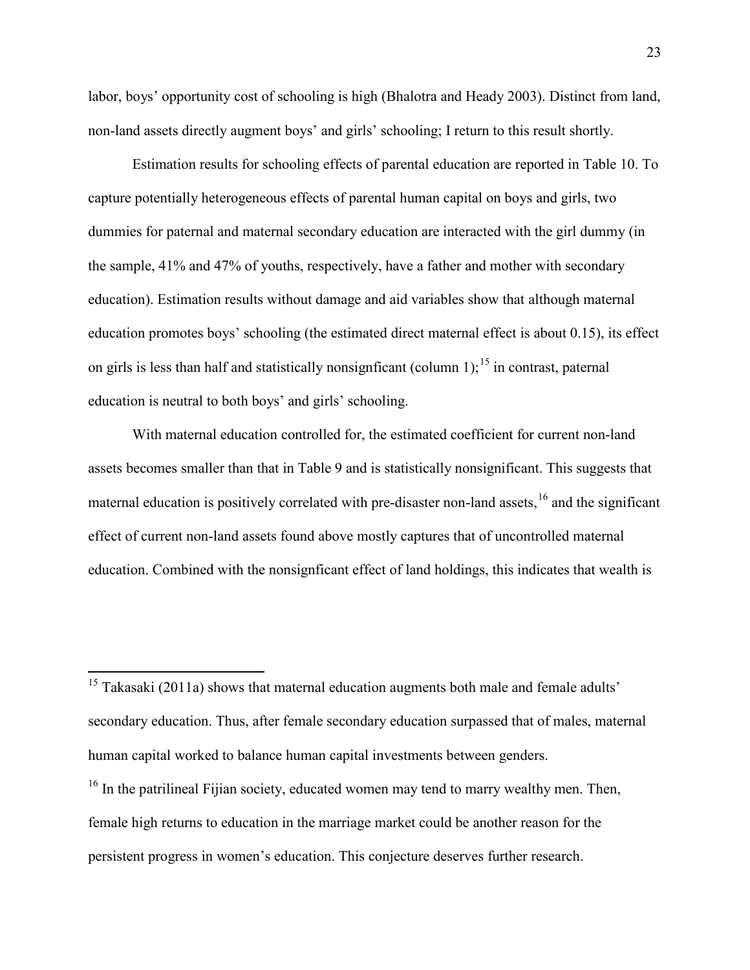labor, boys' opportunity cost of schooling is high (Bhalotra and Heady 2003). Distinct from land, non-land assets directly augment boys' and girls' schooling; I return to this result shortly.

Estimation results for schooling effects of parental education are reported in Table 10. To capture potentially heterogeneous effects of parental human capital on boys and girls, two dummies for paternal and maternal secondary education are interacted with the girl dummy (in the sample, 41% and 47% of youths, respectively, have a father and mother with secondary education). Estimation results without damage and aid variables show that although maternal education promotes boys' schooling (the estimated direct maternal effect is about 0.15), its effect on girls is less than half and statistically nonsignficant (column  $1$ ); <sup>15</sup> in contrast, paternal education is neutral to both boys' and girls' schooling.

With maternal education controlled for, the estimated coefficient for current non-land assets becomes smaller than that in Table 9 and is statistically nonsignificant. This suggests that maternal education is positively correlated with pre-disaster non-land assets, <sup>16</sup> and the significant effect of current non-land assets found above mostly captures that of uncontrolled maternal education. Combined with the nonsignficant effect of land holdings, this indicates that wealth is

<sup>&</sup>lt;sup>15</sup> Takasaki (2011a) shows that maternal education augments both male and female adults' secondary education. Thus, after female secondary education surpassed that of males, maternal human capital worked to balance human capital investments between genders.

<sup>&</sup>lt;sup>16</sup> In the patrilineal Fijian society, educated women may tend to marry wealthy men. Then, female high returns to education in the marriage market could be another reason for the persistent progress in women's education. This conjecture deserves further research.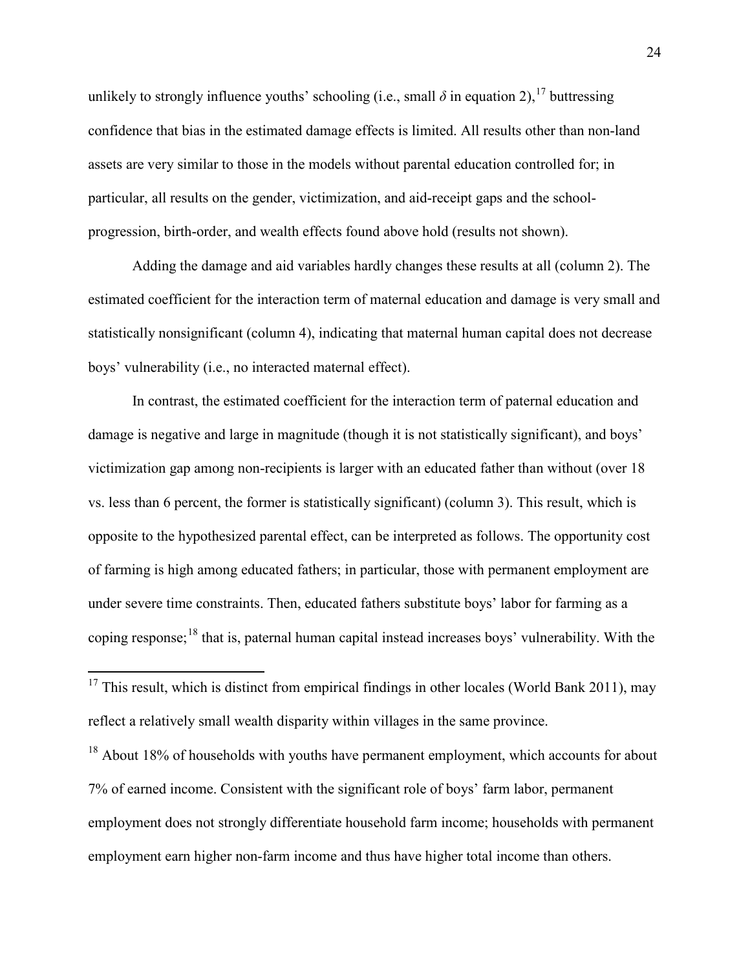unlikely to strongly influence youths' schooling (i.e., small  $\delta$  in equation 2), <sup>17</sup> buttressing confidence that bias in the estimated damage effects is limited. All results other than non-land assets are very similar to those in the models without parental education controlled for; in particular, all results on the gender, victimization, and aid-receipt gaps and the schoolprogression, birth-order, and wealth effects found above hold (results not shown).

Adding the damage and aid variables hardly changes these results at all (column 2). The estimated coefficient for the interaction term of maternal education and damage is very small and statistically nonsignificant (column 4), indicating that maternal human capital does not decrease boys' vulnerability (i.e., no interacted maternal effect).

In contrast, the estimated coefficient for the interaction term of paternal education and damage is negative and large in magnitude (though it is not statistically significant), and boys' victimization gap among non-recipients is larger with an educated father than without (over 18 vs. less than 6 percent, the former is statistically significant) (column 3). This result, which is opposite to the hypothesized parental effect, can be interpreted as follows. The opportunity cost of farming is high among educated fathers; in particular, those with permanent employment are under severe time constraints. Then, educated fathers substitute boys' labor for farming as a coping response;<sup>18</sup> that is, paternal human capital instead increases boys' vulnerability. With the

<sup>18</sup> About 18% of households with youths have permanent employment, which accounts for about 7% of earned income. Consistent with the significant role of boys' farm labor, permanent employment does not strongly differentiate household farm income; households with permanent employment earn higher non-farm income and thus have higher total income than others.

 $17$  This result, which is distinct from empirical findings in other locales (World Bank 2011), may reflect a relatively small wealth disparity within villages in the same province.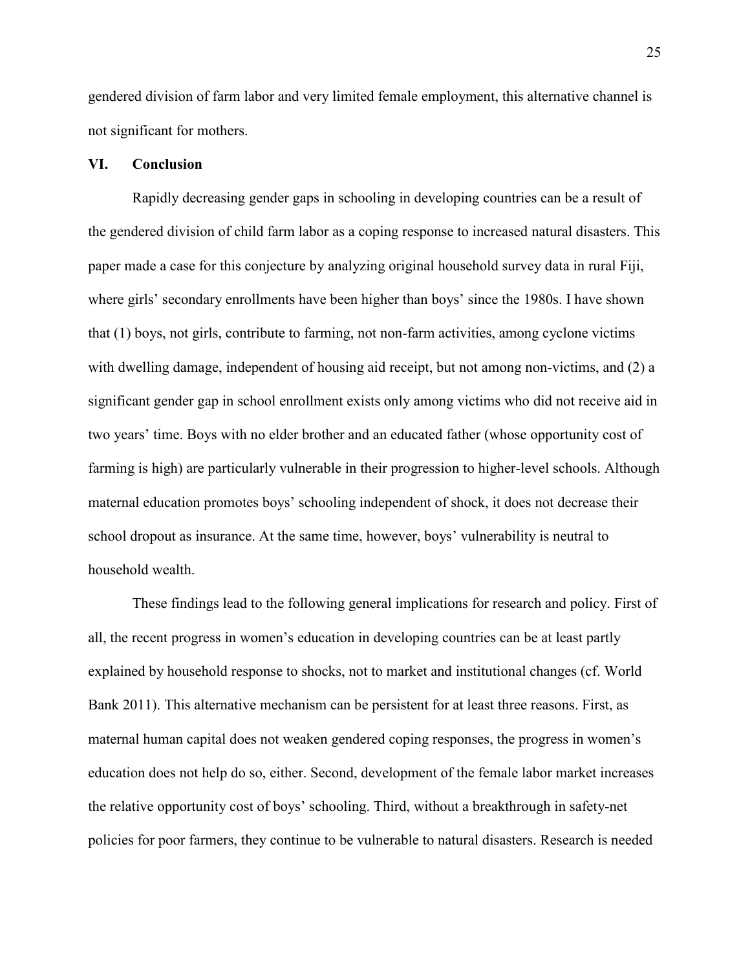gendered division of farm labor and very limited female employment, this alternative channel is not significant for mothers.

### **VI. Conclusion**

Rapidly decreasing gender gaps in schooling in developing countries can be a result of the gendered division of child farm labor as a coping response to increased natural disasters. This paper made a case for this conjecture by analyzing original household survey data in rural Fiji, where girls' secondary enrollments have been higher than boys' since the 1980s. I have shown that (1) boys, not girls, contribute to farming, not non-farm activities, among cyclone victims with dwelling damage, independent of housing aid receipt, but not among non-victims, and (2) a significant gender gap in school enrollment exists only among victims who did not receive aid in two years' time. Boys with no elder brother and an educated father (whose opportunity cost of farming is high) are particularly vulnerable in their progression to higher-level schools. Although maternal education promotes boys' schooling independent of shock, it does not decrease their school dropout as insurance. At the same time, however, boys' vulnerability is neutral to household wealth.

These findings lead to the following general implications for research and policy. First of all, the recent progress in women's education in developing countries can be at least partly explained by household response to shocks, not to market and institutional changes (cf. World Bank 2011). This alternative mechanism can be persistent for at least three reasons. First, as maternal human capital does not weaken gendered coping responses, the progress in women's education does not help do so, either. Second, development of the female labor market increases the relative opportunity cost of boys' schooling. Third, without a breakthrough in safety-net policies for poor farmers, they continue to be vulnerable to natural disasters. Research is needed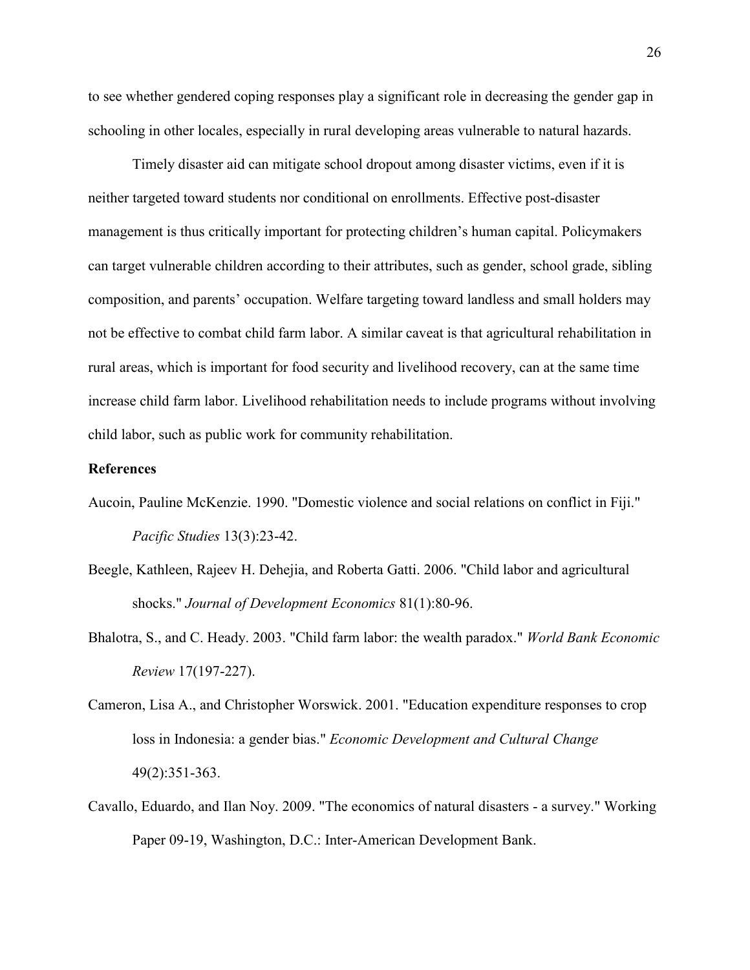to see whether gendered coping responses play a significant role in decreasing the gender gap in schooling in other locales, especially in rural developing areas vulnerable to natural hazards.

Timely disaster aid can mitigate school dropout among disaster victims, even if it is neither targeted toward students nor conditional on enrollments. Effective post-disaster management is thus critically important for protecting children's human capital. Policymakers can target vulnerable children according to their attributes, such as gender, school grade, sibling composition, and parents' occupation. Welfare targeting toward landless and small holders may not be effective to combat child farm labor. A similar caveat is that agricultural rehabilitation in rural areas, which is important for food security and livelihood recovery, can at the same time increase child farm labor. Livelihood rehabilitation needs to include programs without involving child labor, such as public work for community rehabilitation.

#### **References**

- Aucoin, Pauline McKenzie. 1990. "Domestic violence and social relations on conflict in Fiji." *Pacific Studies* 13(3):23-42.
- Beegle, Kathleen, Rajeev H. Dehejia, and Roberta Gatti. 2006. "Child labor and agricultural shocks." *Journal of Development Economics* 81(1):80-96.
- Bhalotra, S., and C. Heady. 2003. "Child farm labor: the wealth paradox." *World Bank Economic Review* 17(197-227).
- Cameron, Lisa A., and Christopher Worswick. 2001. "Education expenditure responses to crop loss in Indonesia: a gender bias." *Economic Development and Cultural Change* 49(2):351-363.
- Cavallo, Eduardo, and Ilan Noy. 2009. "The economics of natural disasters a survey." Working Paper 09-19, Washington, D.C.: Inter-American Development Bank.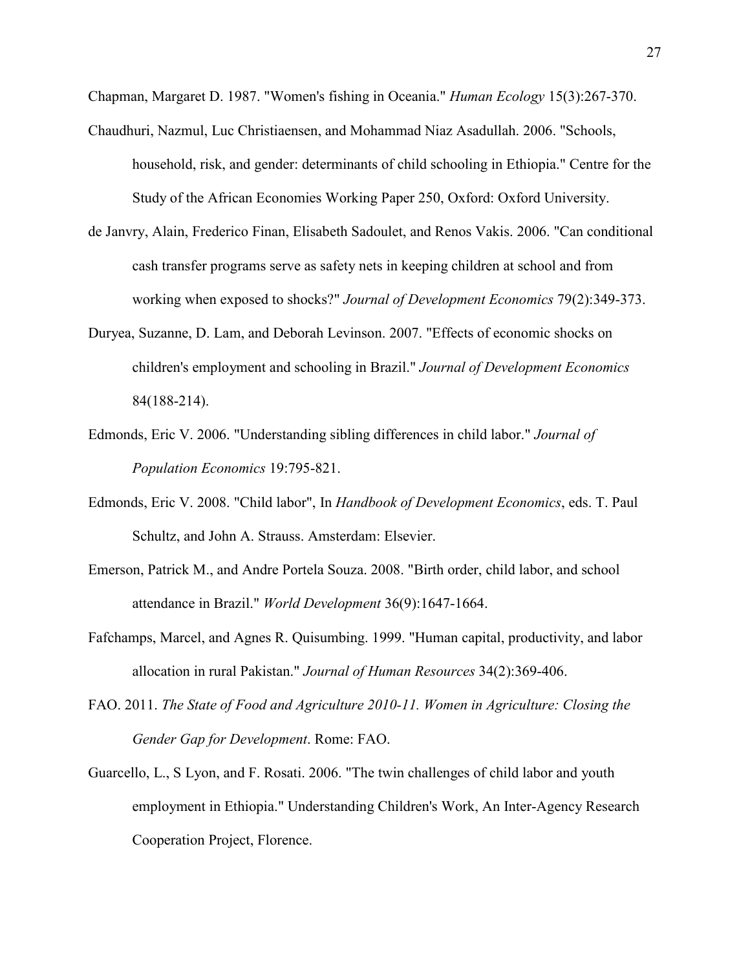Chapman, Margaret D. 1987. "Women's fishing in Oceania." *Human Ecology* 15(3):267-370.

- Chaudhuri, Nazmul, Luc Christiaensen, and Mohammad Niaz Asadullah. 2006. "Schools, household, risk, and gender: determinants of child schooling in Ethiopia." Centre for the Study of the African Economies Working Paper 250, Oxford: Oxford University.
- de Janvry, Alain, Frederico Finan, Elisabeth Sadoulet, and Renos Vakis. 2006. "Can conditional cash transfer programs serve as safety nets in keeping children at school and from working when exposed to shocks?" *Journal of Development Economics* 79(2):349-373.
- Duryea, Suzanne, D. Lam, and Deborah Levinson. 2007. "Effects of economic shocks on children's employment and schooling in Brazil." *Journal of Development Economics* 84(188-214).
- Edmonds, Eric V. 2006. "Understanding sibling differences in child labor." *Journal of Population Economics* 19:795-821.
- Edmonds, Eric V. 2008. "Child labor", In *Handbook of Development Economics*, eds. T. Paul Schultz, and John A. Strauss. Amsterdam: Elsevier.
- Emerson, Patrick M., and Andre Portela Souza. 2008. "Birth order, child labor, and school attendance in Brazil." *World Development* 36(9):1647-1664.
- Fafchamps, Marcel, and Agnes R. Quisumbing. 1999. "Human capital, productivity, and labor allocation in rural Pakistan." *Journal of Human Resources* 34(2):369-406.
- FAO. 2011. *The State of Food and Agriculture 2010-11. Women in Agriculture: Closing the Gender Gap for Development*. Rome: FAO.
- Guarcello, L., S Lyon, and F. Rosati. 2006. "The twin challenges of child labor and youth employment in Ethiopia." Understanding Children's Work, An Inter-Agency Research Cooperation Project, Florence.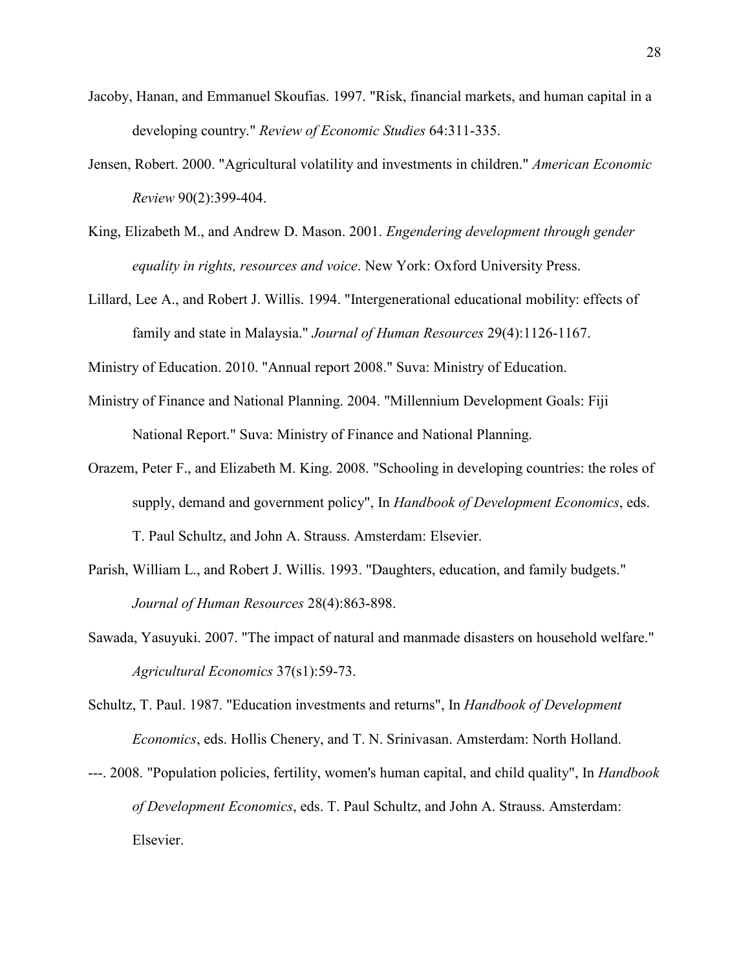- Jacoby, Hanan, and Emmanuel Skoufias. 1997. "Risk, financial markets, and human capital in a developing country." *Review of Economic Studies* 64:311-335.
- Jensen, Robert. 2000. "Agricultural volatility and investments in children." *American Economic Review* 90(2):399-404.
- King, Elizabeth M., and Andrew D. Mason. 2001. *Engendering development through gender equality in rights, resources and voice*. New York: Oxford University Press.
- Lillard, Lee A., and Robert J. Willis. 1994. "Intergenerational educational mobility: effects of family and state in Malaysia." *Journal of Human Resources* 29(4):1126-1167.

Ministry of Education. 2010. "Annual report 2008." Suva: Ministry of Education.

- Ministry of Finance and National Planning. 2004. "Millennium Development Goals: Fiji National Report." Suva: Ministry of Finance and National Planning.
- Orazem, Peter F., and Elizabeth M. King. 2008. "Schooling in developing countries: the roles of supply, demand and government policy", In *Handbook of Development Economics*, eds. T. Paul Schultz, and John A. Strauss. Amsterdam: Elsevier.
- Parish, William L., and Robert J. Willis. 1993. "Daughters, education, and family budgets." *Journal of Human Resources* 28(4):863-898.
- Sawada, Yasuyuki. 2007. "The impact of natural and manmade disasters on household welfare." *Agricultural Economics* 37(s1):59-73.
- Schultz, T. Paul. 1987. "Education investments and returns", In *Handbook of Development Economics*, eds. Hollis Chenery, and T. N. Srinivasan. Amsterdam: North Holland.
- ---. 2008. "Population policies, fertility, women's human capital, and child quality", In *Handbook of Development Economics*, eds. T. Paul Schultz, and John A. Strauss. Amsterdam: Elsevier.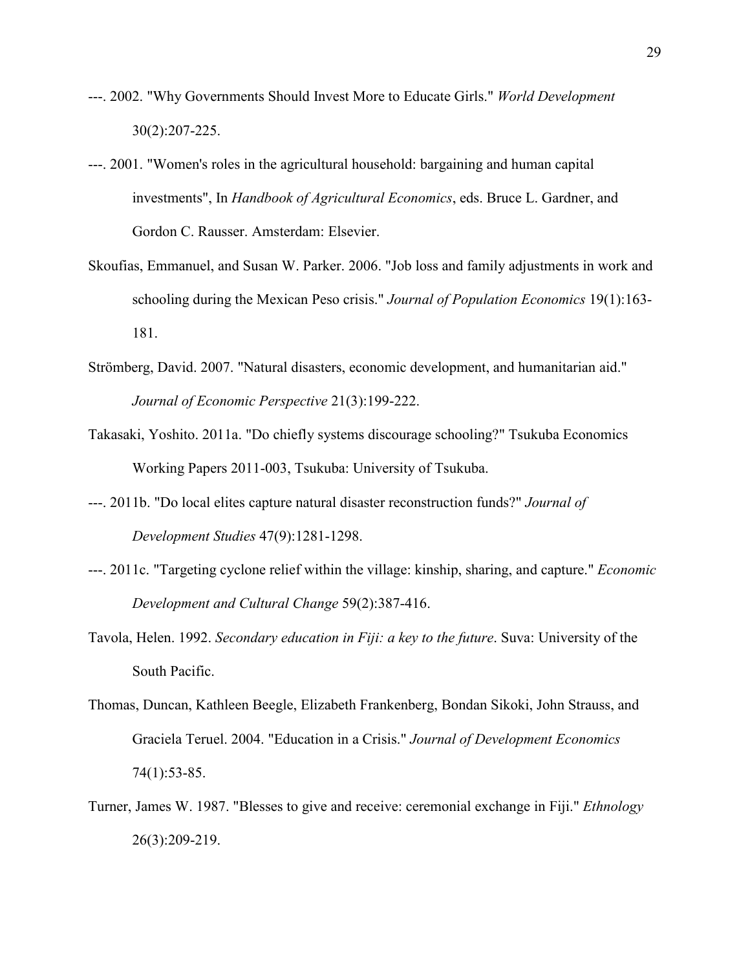- ---. 2002. "Why Governments Should Invest More to Educate Girls." *World Development* 30(2):207-225.
- ---. 2001. "Women's roles in the agricultural household: bargaining and human capital investments", In *Handbook of Agricultural Economics*, eds. Bruce L. Gardner, and Gordon C. Rausser. Amsterdam: Elsevier.
- Skoufias, Emmanuel, and Susan W. Parker. 2006. "Job loss and family adjustments in work and schooling during the Mexican Peso crisis." *Journal of Population Economics* 19(1):163- 181.
- Strömberg, David. 2007. "Natural disasters, economic development, and humanitarian aid." *Journal of Economic Perspective* 21(3):199-222.
- Takasaki, Yoshito. 2011a. "Do chiefly systems discourage schooling?" Tsukuba Economics Working Papers 2011-003, Tsukuba: University of Tsukuba.
- ---. 2011b. "Do local elites capture natural disaster reconstruction funds?" *Journal of Development Studies* 47(9):1281-1298.
- ---. 2011c. "Targeting cyclone relief within the village: kinship, sharing, and capture." *Economic Development and Cultural Change* 59(2):387-416.
- Tavola, Helen. 1992. *Secondary education in Fiji: a key to the future*. Suva: University of the South Pacific.
- Thomas, Duncan, Kathleen Beegle, Elizabeth Frankenberg, Bondan Sikoki, John Strauss, and Graciela Teruel. 2004. "Education in a Crisis." *Journal of Development Economics* 74(1):53-85.
- Turner, James W. 1987. "Blesses to give and receive: ceremonial exchange in Fiji." *Ethnology* 26(3):209-219.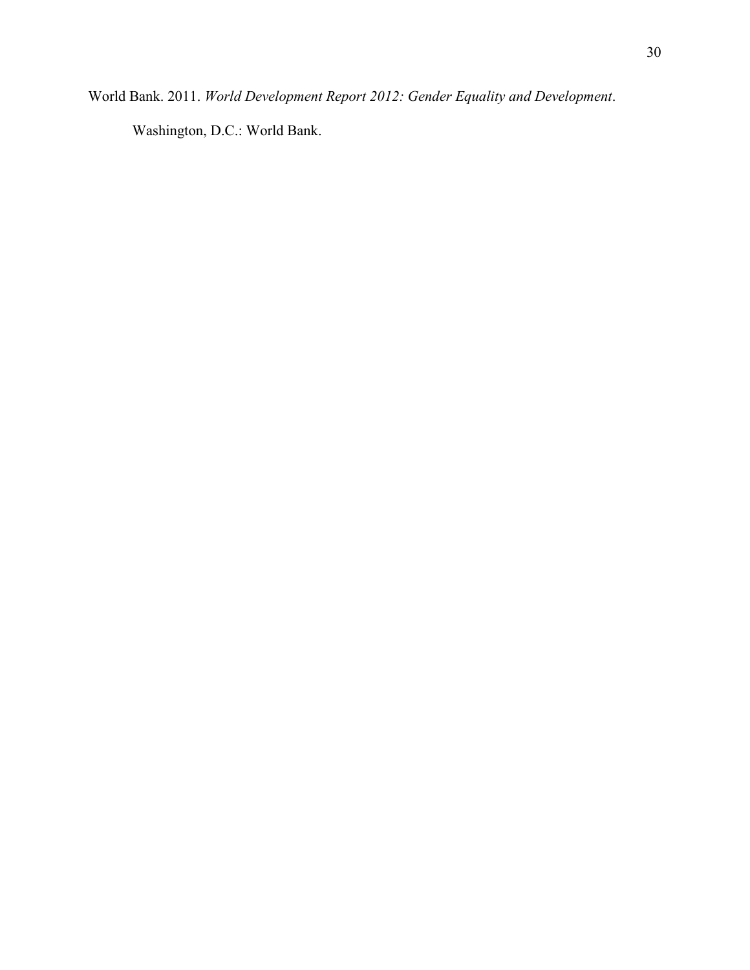World Bank. 2011. *World Development Report 2012: Gender Equality and Development*.

Washington, D.C.: World Bank.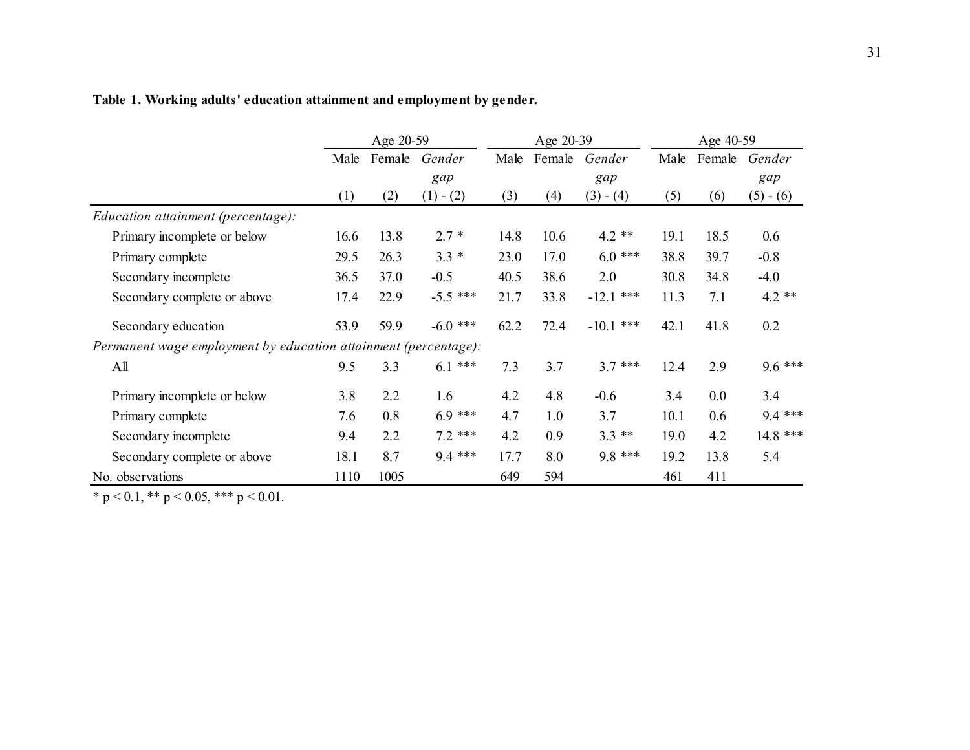|                                                                 |      | Age 20-59 |             | Age 20-39 |      |               | Age 40-59 |        |             |
|-----------------------------------------------------------------|------|-----------|-------------|-----------|------|---------------|-----------|--------|-------------|
|                                                                 | Male | Female    | Gender      | Male      |      | Female Gender | Male      | Female | Gender      |
|                                                                 |      | gap       |             |           |      | gap           |           |        | gap         |
|                                                                 | (1)  | (2)       | $(1) - (2)$ | (3)       | (4)  | $(3) - (4)$   | (5)       | (6)    | $(5) - (6)$ |
| <i>Education attainment (percentage):</i>                       |      |           |             |           |      |               |           |        |             |
| Primary incomplete or below                                     | 16.6 | 13.8      | $2.7*$      | 14.8      | 10.6 | $4.2$ **      | 19.1      | 18.5   | 0.6         |
| Primary complete                                                | 29.5 | 26.3      | $3.3 *$     | 23.0      | 17.0 | $6.0$ ***     | 38.8      | 39.7   | $-0.8$      |
| Secondary incomplete                                            | 36.5 | 37.0      | $-0.5$      | 40.5      | 38.6 | 2.0           | 30.8      | 34.8   | $-4.0$      |
| Secondary complete or above                                     | 17.4 | 22.9      | $-5.5$ ***  | 21.7      | 33.8 | $-12.1$ ***   | 11.3      | 7.1    | $4.2$ **    |
| Secondary education                                             | 53.9 | 59.9      | $-6.0$ ***  | 62.2      | 72.4 | $-10.1$ ***   | 42.1      | 41.8   | 0.2         |
| Permanent wage employment by education attainment (percentage): |      |           |             |           |      |               |           |        |             |
| All                                                             | 9.5  | 3.3       | $6.1***$    | 7.3       | 3.7  | $3.7***$      | 12.4      | 2.9    | $9.6***$    |
| Primary incomplete or below                                     | 3.8  | 2.2       | 1.6         | 4.2       | 4.8  | $-0.6$        | 3.4       | 0.0    | 3.4         |
| Primary complete                                                | 7.6  | 0.8       | $6.9***$    | 4.7       | 1.0  | 3.7           | 10.1      | 0.6    | $9.4***$    |
| Secondary incomplete                                            | 9.4  | 2.2       | $7.2$ ***   | 4.2       | 0.9  | $3.3**$       | 19.0      | 4.2    | 14.8 ***    |
| Secondary complete or above                                     | 18.1 | 8.7       | $9.4***$    | 17.7      | 8.0  | $9.8***$      | 19.2      | 13.8   | 5.4         |
| No. observations                                                | 1110 | 1005      |             | 649       | 594  |               | 461       | 411    |             |

# **Table 1. Working adults' education attainment and employment by gender.**

\* p < 0.1, \*\* p < 0.05, \*\*\* p < 0.01.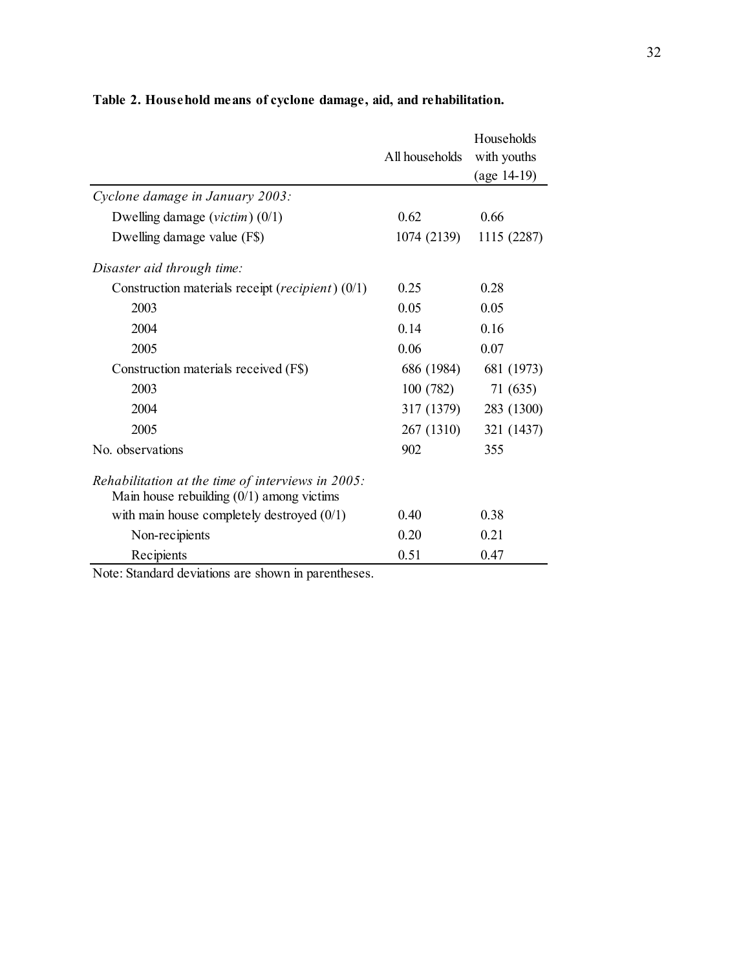|                                                                                                     | All households | Households<br>with youths<br>$(age 14-19)$ |
|-----------------------------------------------------------------------------------------------------|----------------|--------------------------------------------|
| Cyclone damage in January 2003:                                                                     |                |                                            |
| Dwelling damage ( <i>victim</i> ) $(0/1)$                                                           | 0.62           | 0.66                                       |
| Dwelling damage value (F\$)                                                                         | 1074 (2139)    | 1115 (2287)                                |
| Disaster aid through time:                                                                          |                |                                            |
| Construction materials receipt (recipient) (0/1)                                                    | 0.25           | 0.28                                       |
| 2003                                                                                                | 0.05           | 0.05                                       |
| 2004                                                                                                | 0.14           | 0.16                                       |
| 2005                                                                                                | 0.06           | 0.07                                       |
| Construction materials received (F\$)                                                               | 686 (1984)     | 681 (1973)                                 |
| 2003                                                                                                | 100(782)       | 71 (635)                                   |
| 2004                                                                                                | 317 (1379)     | 283 (1300)                                 |
| 2005                                                                                                | 267 (1310)     | 321 (1437)                                 |
| No. observations                                                                                    | 902            | 355                                        |
| Rehabilitation at the time of interviews in $2005$ :<br>Main house rebuilding $(0/1)$ among victims |                |                                            |
| with main house completely destroyed $(0/1)$                                                        | 0.40           | 0.38                                       |
| Non-recipients                                                                                      | 0.20           | 0.21                                       |
| Recipients                                                                                          | 0.51           | 0.47                                       |

**Table 2. Household means of cyclone damage, aid, and rehabilitation.**

Note: Standard deviations are shown in parentheses.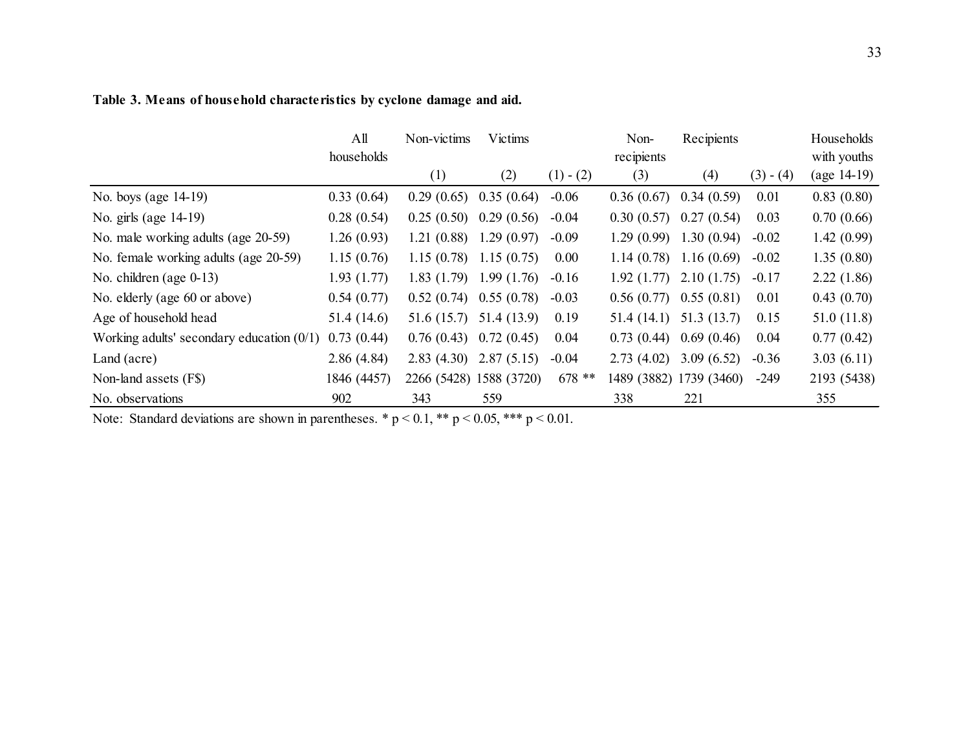#### No. boys (age 14-19) 0.33 (0.64) 0.29 (0.65) 0.35 (0.64) -0.06 0.36 (0.67) 0.34 (0.59) 0.01 0.83 (0.80) No. girls (age 14-19) 0.28 (0.54) 0.25 (0.50) 0.29 (0.56) -0.04 0.30 (0.57) 0.27 (0.54) 0.03 0.70 (0.66) No. male working adults (age 20-59) 1.26 (0.93) 1.21 (0.88) 1.29 (0.97) -0.09 1.29 (0.99) 1.30 (0.94) -0.02 1.42 (0.99) No. female working adults (age 20-59) 1.15 (0.76) 1.15 (0.78) 1.15 (0.75) 0.00 1.14 (0.78) 1.16 (0.69) -0.02 1.35 (0.80) No. children (age 0-13) 1.93 (1.77) 1.83 (1.79) 1.99 (1.76) -0.16 1.92 (1.77) 2.10 (1.75) -0.17 2.22 (1.86) No. elderly (age 60 or above) 0.54 (0.77) 0.52 (0.74) 0.55 (0.78) -0.03 0.56 (0.77) 0.55 (0.81) 0.01 0.43 (0.70) Age of household head 51.4 (14.6) 51.6 (15.7) 51.4 (13.9) 0.19 51.4 (14.1) 51.3 (13.7) 0.15 51.0 (11.8) Working adults' secondary education (0/1) 0.73 (0.44) 0.76 (0.43) 0.72 (0.45) 0.04 0.73 (0.44) 0.69 (0.46) 0.04 0.77 (0.42) Land (acre) 2.86 (4.84) 2.83 (4.30) 2.87 (5.15) -0.04 2.73 (4.02) 3.09 (6.52) -0.36 3.03 (6.11) Non-land assets (F\$) 1846 (4457) 2266 (5428) 1588 (3720) 678 \*\* 1489 (3882) 1739 (3460) -249 2193 (5438)  $(3) - (4)$ Households with youths (age 14-19) All households Non-victims (1) Victims  $(2)$   $(1)$  -  $(2)$ Nonrecipients (3) Recipients (4)

No. observations 5902 343 559 338 221 355

**Table 3. Means of household characteristics by cyclone damage and aid.**

Note: Standard deviations are shown in parentheses. \*  $p < 0.1$ , \*\*  $p < 0.05$ , \*\*\*  $p < 0.01$ .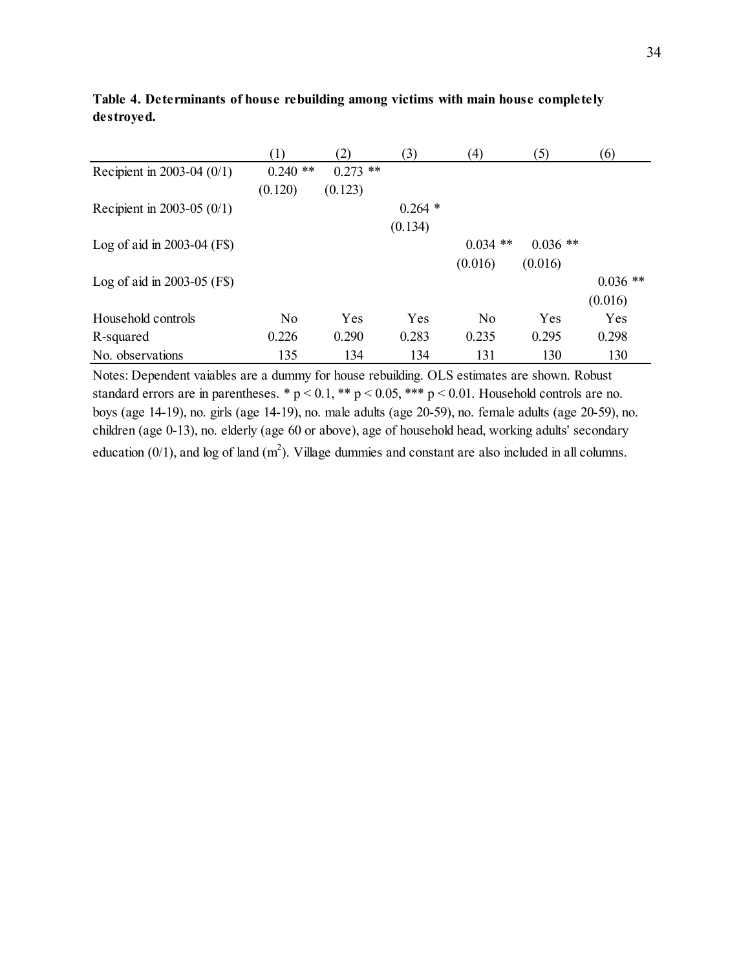|                               | (1)        | (2)        | (3)       | (4)            | (5)        | (6)        |
|-------------------------------|------------|------------|-----------|----------------|------------|------------|
| Recipient in 2003-04 $(0/1)$  | $0.240$ ** | $0.273$ ** |           |                |            |            |
|                               | (0.120)    | (0.123)    |           |                |            |            |
| Recipient in 2003-05 $(0/1)$  |            |            | $0.264$ * |                |            |            |
|                               |            |            | (0.134)   |                |            |            |
| Log of aid in $2003-04$ (F\$) |            |            |           | $0.034$ **     | $0.036$ ** |            |
|                               |            |            |           | (0.016)        | (0.016)    |            |
| Log of aid in $2003-05$ (F\$) |            |            |           |                |            | $0.036$ ** |
|                               |            |            |           |                |            | (0.016)    |
| Household controls            | No         | Yes        | Yes       | N <sub>0</sub> | Yes        | Yes        |
| R-squared                     | 0.226      | 0.290      | 0.283     | 0.235          | 0.295      | 0.298      |
| No. observations              | 135        | 134        | 134       | 131            | 130        | 130        |

**Table 4. Determinants of house rebuilding among victims with main house completely destroyed.**

Notes: Dependent vaiables are a dummy for house rebuilding. OLS estimates are shown. Robust standard errors are in parentheses. \*  $p < 0.1$ , \*\*  $p < 0.05$ , \*\*\*  $p < 0.01$ . Household controls are no. boys (age 14-19), no. girls (age 14-19), no. male adults (age 20-59), no. female adults (age 20-59), no. children (age 0-13), no. elderly (age 60 or above), age of household head, working adults' secondary education  $(0/1)$ , and log of land  $(m^2)$ . Village dummies and constant are also included in all columns.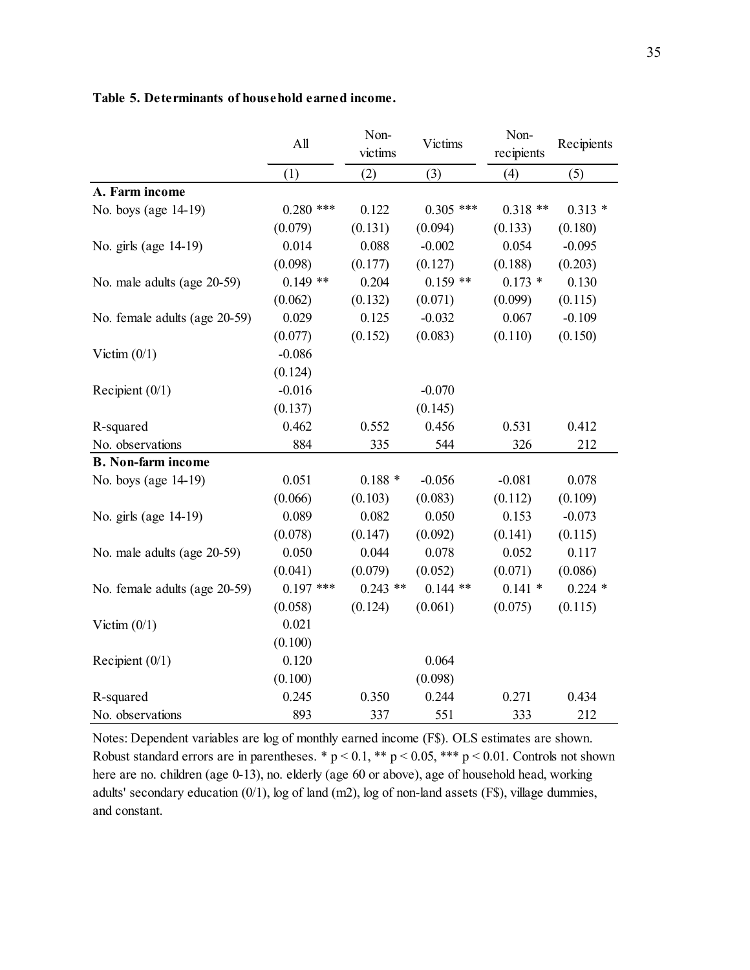|                               | All         | Non-<br>Victims<br>victims |             | Non-<br>recipients | Recipients |
|-------------------------------|-------------|----------------------------|-------------|--------------------|------------|
|                               | (1)         | (2)                        | (3)         | (4)                | (5)        |
| A. Farm income                |             |                            |             |                    |            |
| No. boys (age 14-19)          | $0.280$ *** | 0.122                      | $0.305$ *** | $0.318**$          | $0.313*$   |
|                               | (0.079)     | (0.131)                    | (0.094)     | (0.133)            | (0.180)    |
| No. girls (age 14-19)         | 0.014       | 0.088                      | $-0.002$    | 0.054              | $-0.095$   |
|                               | (0.098)     | (0.177)                    | (0.127)     | (0.188)            | (0.203)    |
| No. male adults (age 20-59)   | $0.149$ **  | 0.204                      | $0.159$ **  | $0.173*$           | 0.130      |
|                               | (0.062)     | (0.132)                    | (0.071)     | (0.099)            | (0.115)    |
| No. female adults (age 20-59) | 0.029       | 0.125                      | $-0.032$    | 0.067              | $-0.109$   |
|                               | (0.077)     | (0.152)                    | (0.083)     | (0.110)            | (0.150)    |
| Victim $(0/1)$                | $-0.086$    |                            |             |                    |            |
|                               | (0.124)     |                            |             |                    |            |
| Recipient $(0/1)$             | $-0.016$    |                            | $-0.070$    |                    |            |
|                               | (0.137)     |                            | (0.145)     |                    |            |
| R-squared                     | 0.462       | 0.552                      | 0.456       | 0.531              | 0.412      |
| No. observations              | 884         | 335                        | 544         | 326                | 212        |
| <b>B.</b> Non-farm income     |             |                            |             |                    |            |
| No. boys (age 14-19)          | 0.051       | $0.188*$                   | $-0.056$    | $-0.081$           | 0.078      |
|                               | (0.066)     | (0.103)                    | (0.083)     | (0.112)            | (0.109)    |
| No. girls (age 14-19)         | 0.089       | 0.082                      | 0.050       | 0.153              | $-0.073$   |
|                               | (0.078)     | (0.147)                    | (0.092)     | (0.141)            | (0.115)    |
| No. male adults (age 20-59)   | 0.050       | 0.044                      | 0.078       | 0.052              | 0.117      |
|                               | (0.041)     | (0.079)                    | (0.052)     | (0.071)            | (0.086)    |
| No. female adults (age 20-59) | $0.197$ *** | $0.243$ **                 | $0.144$ **  | $0.141*$           | $0.224$ *  |
|                               | (0.058)     | (0.124)                    | (0.061)     | (0.075)            | (0.115)    |
| Victim $(0/1)$                | 0.021       |                            |             |                    |            |
|                               | (0.100)     |                            |             |                    |            |
| Recipient $(0/1)$             | 0.120       |                            | 0.064       |                    |            |
|                               | (0.100)     |                            | (0.098)     |                    |            |
| R-squared                     | 0.245       | 0.350                      | 0.244       | 0.271              | 0.434      |
| No. observations              | 893         | 337                        | 551         | 333                | 212        |

#### **Table 5. Determinants of household earned income.**

Notes: Dependent variables are log of monthly earned income (F\$). OLS estimates are shown. Robust standard errors are in parentheses. \*  $p < 0.1$ , \*\*  $p < 0.05$ , \*\*\*  $p < 0.01$ . Controls not shown here are no. children (age 0-13), no. elderly (age 60 or above), age of household head, working adults' secondary education (0/1), log of land (m2), log of non-land assets (F\$), village dummies, and constant.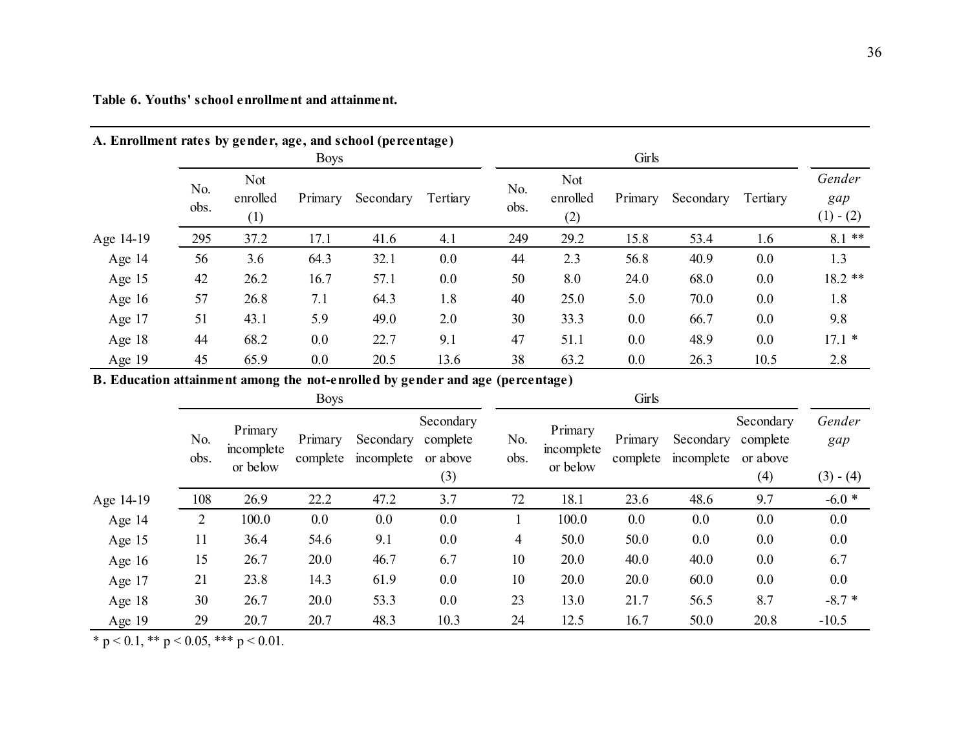| Table 6. Youths' school enrollment and attainment. |
|----------------------------------------------------|
|                                                    |

| A. Enforment rates by genuer, age, and school (percentage) |             |                                      |             |           |          |             |                        |         |           |          |                              |
|------------------------------------------------------------|-------------|--------------------------------------|-------------|-----------|----------|-------------|------------------------|---------|-----------|----------|------------------------------|
|                                                            |             |                                      | <b>Boys</b> |           |          | Girls       |                        |         |           |          |                              |
|                                                            | No.<br>obs. | Not<br>enrolled<br>$\left( 1\right)$ | Primary     | Secondary | Tertiary | No.<br>obs. | Not<br>enrolled<br>(2) | Primary | Secondary | Tertiary | Gender<br>gap<br>$(1) - (2)$ |
| Age 14-19                                                  | 295         | 37.2                                 | 17.1        | 41.6      | 4.1      | 249         | 29.2                   | 15.8    | 53.4      | 1.6      | $8.1$ **                     |
| Age 14                                                     | 56          | 3.6                                  | 64.3        | 32.1      | 0.0      | 44          | 2.3                    | 56.8    | 40.9      | 0.0      | 1.3                          |
| Age 15                                                     | 42          | 26.2                                 | 16.7        | 57.1      | 0.0      | 50          | 8.0                    | 24.0    | 68.0      | 0.0      | $18.2$ **                    |
| Age $16$                                                   | 57          | 26.8                                 | 7.1         | 64.3      | 1.8      | 40          | 25.0                   | 5.0     | 70.0      | 0.0      | 1.8                          |
| Age 17                                                     | 51          | 43.1                                 | 5.9         | 49.0      | 2.0      | 30          | 33.3                   | 0.0     | 66.7      | 0.0      | 9.8                          |
| Age $18$                                                   | 44          | 68.2                                 | $0.0\,$     | 22.7      | 9.1      | 47          | 51.1                   | $0.0\,$ | 48.9      | 0.0      | $17.1*$                      |
| Age 19                                                     | 45          | 65.9                                 | $0.0\,$     | 20.5      | 13.6     | 38          | 63.2                   | 0.0     | 26.3      | 10.5     | 2.8                          |

**A. Enrollment rates by gender, age, and school (percentage)**

**B. Education attainment among the not-enrolled by gender and age (percentage)**

|           |                |                                   | <b>Boys</b>         |                         |                                          | Girls       |                                   |                     |                         |                                          |                              |
|-----------|----------------|-----------------------------------|---------------------|-------------------------|------------------------------------------|-------------|-----------------------------------|---------------------|-------------------------|------------------------------------------|------------------------------|
|           | No.<br>obs.    | Primary<br>incomplete<br>or below | Primary<br>complete | Secondary<br>incomplete | Secondary<br>complete<br>or above<br>(3) | No.<br>obs. | Primary<br>incomplete<br>or below | Primary<br>complete | Secondary<br>incomplete | Secondary<br>complete<br>or above<br>(4) | Gender<br>gap<br>$(3) - (4)$ |
| Age 14-19 | 108            | 26.9                              | 22.2                | 47.2                    | 3.7                                      | 72          | 18.1                              | 23.6                | 48.6                    | 9.7                                      | $-6.0*$                      |
| Age 14    | $\overline{2}$ | 100.0                             | 0.0                 | 0.0                     | 0.0                                      |             | 100.0                             | 0.0                 | 0.0                     | 0.0                                      | 0.0                          |
| Age 15    | 11             | 36.4                              | 54.6                | 9.1                     | 0.0                                      | 4           | 50.0                              | 50.0                | 0.0                     | 0.0                                      | 0.0                          |
| Age $16$  | 15             | 26.7                              | 20.0                | 46.7                    | 6.7                                      | 10          | 20.0                              | 40.0                | 40.0                    | 0.0                                      | 6.7                          |
| Age 17    | 21             | 23.8                              | 14.3                | 61.9                    | 0.0                                      | 10          | 20.0                              | 20.0                | 60.0                    | 0.0                                      | 0.0                          |
| Age 18    | 30             | 26.7                              | 20.0                | 53.3                    | 0.0                                      | 23          | 13.0                              | 21.7                | 56.5                    | 8.7                                      | $-8.7*$                      |
| Age 19    | 29             | 20.7                              | 20.7                | 48.3                    | 10.3                                     | 24          | 12.5                              | 16.7                | 50.0                    | 20.8                                     | $-10.5$                      |

\* p < 0.1, \*\* p < 0.05, \*\*\* p < 0.01.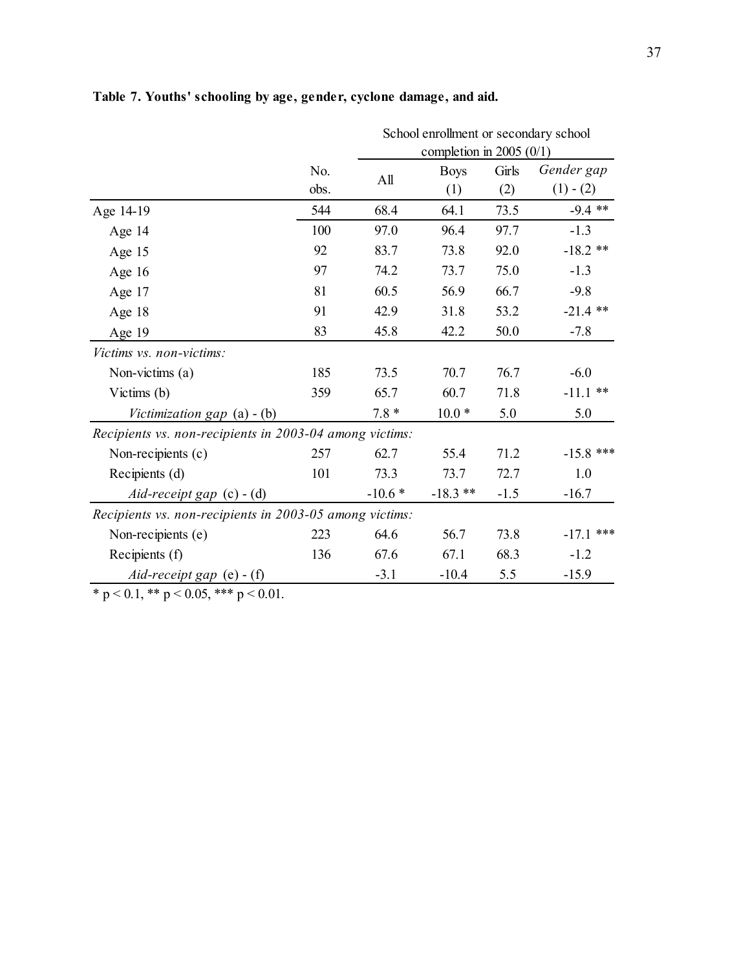|                                                         |             |          | School enrollment or secondary school<br>completion in 2005 $(0/1)$ |              |                           |  |  |  |  |
|---------------------------------------------------------|-------------|----------|---------------------------------------------------------------------|--------------|---------------------------|--|--|--|--|
|                                                         | No.<br>obs. | All      | <b>Boys</b><br>(1)                                                  | Girls<br>(2) | Gender gap<br>$(1) - (2)$ |  |  |  |  |
| Age 14-19                                               | 544         | 68.4     | 64.1                                                                | 73.5         | $-9.4$ **                 |  |  |  |  |
| Age $14$                                                | 100         | 97.0     | 96.4                                                                | 97.7         | $-1.3$                    |  |  |  |  |
| Age 15                                                  | 92          | 83.7     | 73.8                                                                | 92.0         | $-18.2$ **                |  |  |  |  |
| Age $16$                                                | 97          | 74.2     | 73.7                                                                | 75.0         | $-1.3$                    |  |  |  |  |
| Age 17                                                  | 81          | 60.5     | 56.9                                                                | 66.7         | $-9.8$                    |  |  |  |  |
| Age 18                                                  | 91          | 42.9     | 31.8                                                                | 53.2         | $-21.4$ **                |  |  |  |  |
| Age 19                                                  | 83          | 45.8     | 42.2                                                                | 50.0         | $-7.8$                    |  |  |  |  |
| Victims vs. non-victims:                                |             |          |                                                                     |              |                           |  |  |  |  |
| Non-victims (a)                                         | 185         | 73.5     | 70.7                                                                | 76.7         | $-6.0$                    |  |  |  |  |
| Victims (b)                                             | 359         | 65.7     | 60.7                                                                | 71.8         | $-11.1$ **                |  |  |  |  |
| Victimization gap $(a) - (b)$                           |             | $7.8*$   | $10.0*$                                                             | 5.0          | 5.0                       |  |  |  |  |
| Recipients vs. non-recipients in 2003-04 among victims: |             |          |                                                                     |              |                           |  |  |  |  |
| Non-recipients (c)                                      | 257         | 62.7     | 55.4                                                                | 71.2         | $-15.8$ ***               |  |  |  |  |
| Recipients (d)                                          | 101         | 73.3     | 73.7                                                                | 72.7         | 1.0                       |  |  |  |  |
| Aid-receipt gap $(c) - (d)$                             |             | $-10.6*$ | $-18.3$ **                                                          | $-1.5$       | $-16.7$                   |  |  |  |  |
| Recipients vs. non-recipients in 2003-05 among victims: |             |          |                                                                     |              |                           |  |  |  |  |
| Non-recipients (e)                                      | 223         | 64.6     | 56.7                                                                | 73.8         | $-17.1$ ***               |  |  |  |  |
| Recipients (f)                                          | 136         | 67.6     | 67.1                                                                | 68.3         | $-1.2$                    |  |  |  |  |
| Aid-receipt gap $(e)$ - $(f)$                           |             | $-3.1$   | $-10.4$                                                             | 5.5          | $-15.9$                   |  |  |  |  |

# **Table 7. Youths' schooling by age, gender, cyclone damage, and aid.**

\* p < 0.1, \*\* p < 0.05, \*\*\* p < 0.01.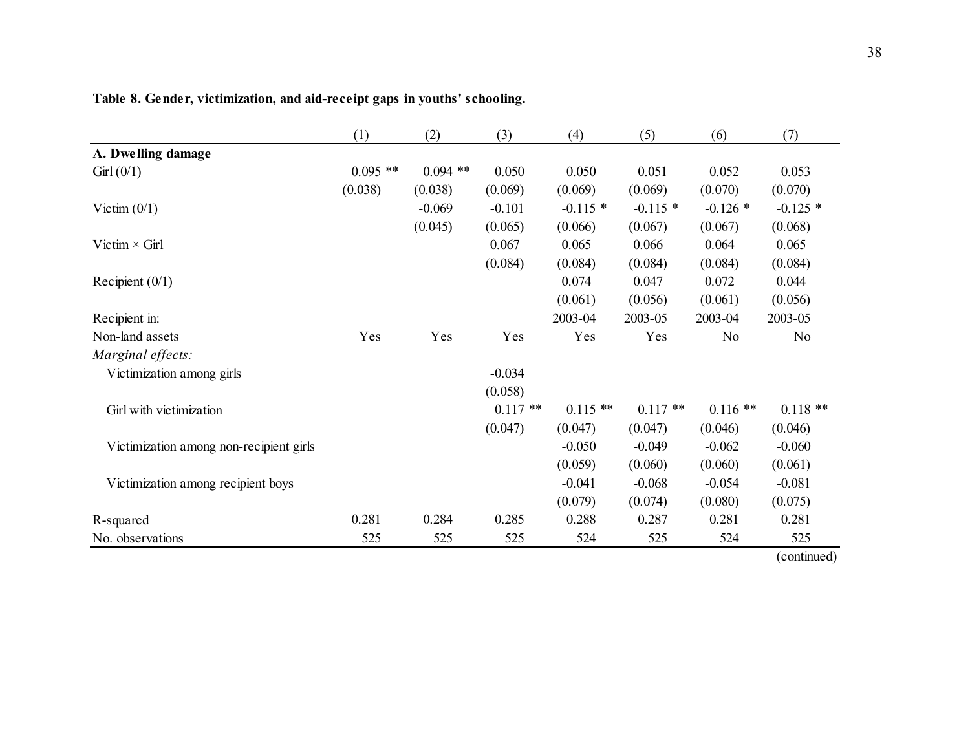|                                         | (1)        | (2)        | (3)       | (4)        | (5)        | (6)        | (7)            |
|-----------------------------------------|------------|------------|-----------|------------|------------|------------|----------------|
| A. Dwelling damage                      |            |            |           |            |            |            |                |
| Girl $(0/1)$                            | $0.095$ ** | $0.094$ ** | 0.050     | 0.050      | 0.051      | 0.052      | 0.053          |
|                                         | (0.038)    | (0.038)    | (0.069)   | (0.069)    | (0.069)    | (0.070)    | (0.070)        |
| Victim $(0/1)$                          |            | $-0.069$   | $-0.101$  | $-0.115*$  | $-0.115$ * | $-0.126*$  | $-0.125$ *     |
|                                         |            | (0.045)    | (0.065)   | (0.066)    | (0.067)    | (0.067)    | (0.068)        |
| Victim $\times$ Girl                    |            |            | 0.067     | 0.065      | 0.066      | 0.064      | 0.065          |
|                                         |            |            | (0.084)   | (0.084)    | (0.084)    | (0.084)    | (0.084)        |
| Recipient $(0/1)$                       |            |            |           | 0.074      | 0.047      | 0.072      | 0.044          |
|                                         |            |            |           | (0.061)    | (0.056)    | (0.061)    | (0.056)        |
| Recipient in:                           |            |            |           | 2003-04    | 2003-05    | 2003-04    | 2003-05        |
| Non-land assets                         | Yes        | Yes        | Yes       | Yes        | Yes        | No         | N <sub>0</sub> |
| Marginal effects:                       |            |            |           |            |            |            |                |
| Victimization among girls               |            |            | $-0.034$  |            |            |            |                |
|                                         |            |            | (0.058)   |            |            |            |                |
| Girl with victimization                 |            |            | $0.117**$ | $0.115$ ** | $0.117**$  | $0.116$ ** | $0.118**$      |
|                                         |            |            | (0.047)   | (0.047)    | (0.047)    | (0.046)    | (0.046)        |
| Victimization among non-recipient girls |            |            |           | $-0.050$   | $-0.049$   | $-0.062$   | $-0.060$       |
|                                         |            |            |           | (0.059)    | (0.060)    | (0.060)    | (0.061)        |
| Victimization among recipient boys      |            |            |           | $-0.041$   | $-0.068$   | $-0.054$   | $-0.081$       |
|                                         |            |            |           | (0.079)    | (0.074)    | (0.080)    | (0.075)        |
| R-squared                               | 0.281      | 0.284      | 0.285     | 0.288      | 0.287      | 0.281      | 0.281          |
| No. observations                        | 525        | 525        | 525       | 524        | 525        | 524        | 525            |
|                                         |            |            |           |            |            |            | (continued)    |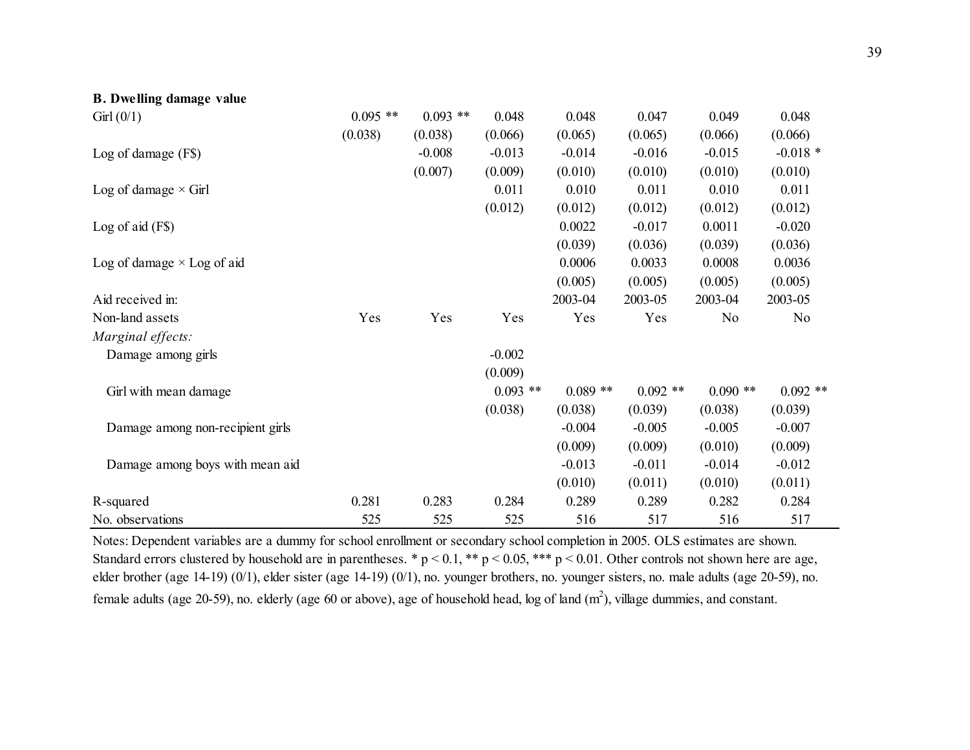| <b>B.</b> Dwelling damage value   |            |            |            |           |            |                |                |
|-----------------------------------|------------|------------|------------|-----------|------------|----------------|----------------|
| Girl $(0/1)$                      | $0.095$ ** | $0.093$ ** | 0.048      | 0.048     | 0.047      | 0.049          | 0.048          |
|                                   | (0.038)    | (0.038)    | (0.066)    | (0.065)   | (0.065)    | (0.066)        | (0.066)        |
| Log of damage $(F$)$              |            | $-0.008$   | $-0.013$   | $-0.014$  | $-0.016$   | $-0.015$       | $-0.018*$      |
|                                   |            | (0.007)    | (0.009)    | (0.010)   | (0.010)    | (0.010)        | (0.010)        |
| Log of damage $\times$ Girl       |            |            | 0.011      | 0.010     | 0.011      | 0.010          | 0.011          |
|                                   |            |            | (0.012)    | (0.012)   | (0.012)    | (0.012)        | (0.012)        |
| Log of aid $(F\$ )                |            |            |            | 0.0022    | $-0.017$   | 0.0011         | $-0.020$       |
|                                   |            |            |            | (0.039)   | (0.036)    | (0.039)        | (0.036)        |
| Log of damage $\times$ Log of aid |            |            |            | 0.0006    | 0.0033     | 0.0008         | 0.0036         |
|                                   |            |            |            | (0.005)   | (0.005)    | (0.005)        | (0.005)        |
| Aid received in:                  |            |            |            | 2003-04   | 2003-05    | 2003-04        | 2003-05        |
| Non-land assets                   | Yes        | Yes        | Yes        | Yes       | Yes        | N <sub>0</sub> | N <sub>0</sub> |
| Marginal effects:                 |            |            |            |           |            |                |                |
| Damage among girls                |            |            | $-0.002$   |           |            |                |                |
|                                   |            |            | (0.009)    |           |            |                |                |
| Girl with mean damage             |            |            | $0.093$ ** | $0.089**$ | $0.092$ ** | $0.090**$      | $0.092$ **     |
|                                   |            |            | (0.038)    | (0.038)   | (0.039)    | (0.038)        | (0.039)        |
| Damage among non-recipient girls  |            |            |            | $-0.004$  | $-0.005$   | $-0.005$       | $-0.007$       |
|                                   |            |            |            | (0.009)   | (0.009)    | (0.010)        | (0.009)        |
| Damage among boys with mean aid   |            |            |            | $-0.013$  | $-0.011$   | $-0.014$       | $-0.012$       |
|                                   |            |            |            | (0.010)   | (0.011)    | (0.010)        | (0.011)        |
| R-squared                         | 0.281      | 0.283      | 0.284      | 0.289     | 0.289      | 0.282          | 0.284          |
| No. observations                  | 525        | 525        | 525        | 516       | 517        | 516            | 517            |

Notes: Dependent variables are a dummy for school enrollment or secondary school completion in 2005. OLS estimates are shown. Standard errors clustered by household are in parentheses. \*  $p < 0.1$ , \*\*  $p < 0.05$ , \*\*\*  $p < 0.01$ . Other controls not shown here are age, elder brother (age 14-19) (0/1), elder sister (age 14-19) (0/1), no. younger brothers, no. younger sisters, no. male adults (age 20-59), no. female adults (age 20-59), no. elderly (age 60 or above), age of household head, log of land  $(m^2)$ , village dummies, and constant.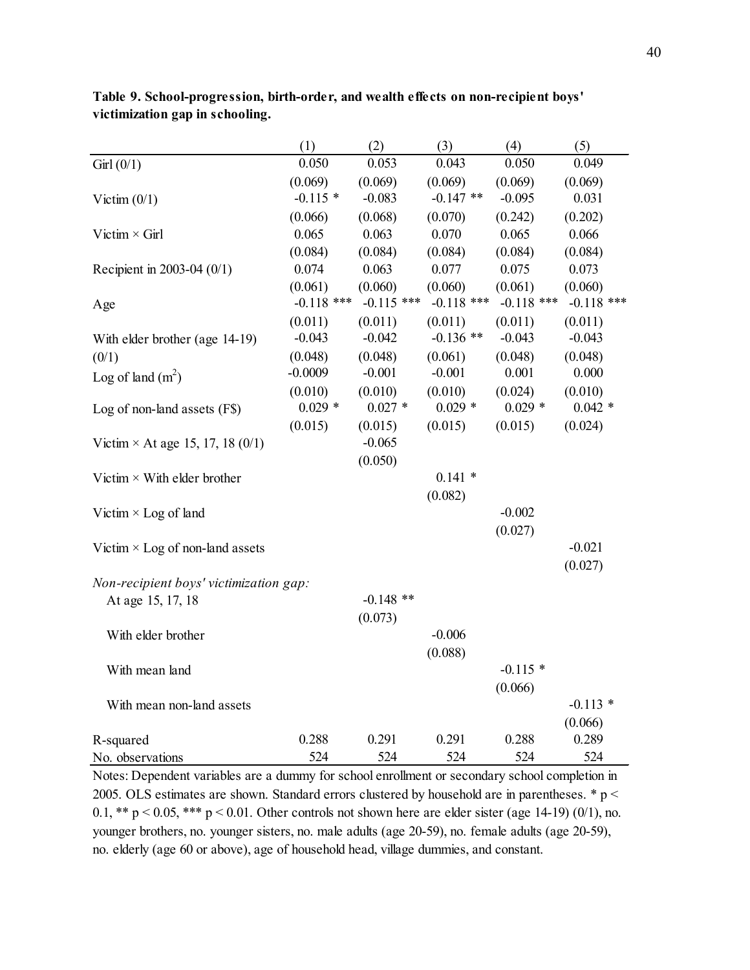|                                         | (1)          | (2)          | (3)          | (4)          | (5)          |
|-----------------------------------------|--------------|--------------|--------------|--------------|--------------|
| Girl(0/1)                               | 0.050        | 0.053        | 0.043        | 0.050        | 0.049        |
|                                         | (0.069)      | (0.069)      | (0.069)      | (0.069)      | (0.069)      |
| Victim $(0/1)$                          | $-0.115*$    | $-0.083$     | $-0.147$ **  | $-0.095$     | 0.031        |
|                                         | (0.066)      | (0.068)      | (0.070)      | (0.242)      | (0.202)      |
| Victim $\times$ Girl                    | 0.065        | 0.063        | 0.070        | 0.065        | 0.066        |
|                                         | (0.084)      | (0.084)      | (0.084)      | (0.084)      | (0.084)      |
| Recipient in 2003-04 (0/1)              | 0.074        | 0.063        | 0.077        | 0.075        | 0.073        |
|                                         | (0.061)      | (0.060)      | (0.060)      | (0.061)      | (0.060)      |
| Age                                     | $-0.118$ *** | $-0.115$ *** | $-0.118$ *** | $-0.118$ *** | $-0.118$ *** |
|                                         | (0.011)      | (0.011)      | (0.011)      | (0.011)      | (0.011)      |
| With elder brother (age 14-19)          | $-0.043$     | $-0.042$     | $-0.136$ **  | $-0.043$     | $-0.043$     |
| (0/1)                                   | (0.048)      | (0.048)      | (0.061)      | (0.048)      | (0.048)      |
| Log of land $(m2)$                      | $-0.0009$    | $-0.001$     | $-0.001$     | 0.001        | 0.000        |
|                                         | (0.010)      | (0.010)      | (0.010)      | (0.024)      | (0.010)      |
| Log of non-land assets (F\$)            | $0.029*$     | $0.027 *$    | $0.029*$     | $0.029*$     | $0.042 *$    |
|                                         | (0.015)      | (0.015)      | (0.015)      | (0.015)      | (0.024)      |
| Victim $\times$ At age 15, 17, 18 (0/1) |              | $-0.065$     |              |              |              |
|                                         |              | (0.050)      |              |              |              |
| Victim $\times$ With elder brother      |              |              | $0.141*$     |              |              |
|                                         |              |              | (0.082)      |              |              |
| Victim $\times$ Log of land             |              |              |              | $-0.002$     |              |
|                                         |              |              |              | (0.027)      |              |
| Victim $\times$ Log of non-land assets  |              |              |              |              | $-0.021$     |
|                                         |              |              |              |              | (0.027)      |
| Non-recipient boys' victimization gap:  |              |              |              |              |              |
| At age 15, 17, 18                       |              | $-0.148$ **  |              |              |              |
|                                         |              | (0.073)      |              |              |              |
| With elder brother                      |              |              | $-0.006$     |              |              |
|                                         |              |              | (0.088)      |              |              |
| With mean land                          |              |              |              | $-0.115*$    |              |
|                                         |              |              |              | (0.066)      |              |
| With mean non-land assets               |              |              |              |              | $-0.113*$    |
|                                         |              |              |              |              | (0.066)      |
| R-squared                               | 0.288        | 0.291        | 0.291        | 0.288        | 0.289        |
| No. observations                        | 524          | 524          | 524          | 524          | 524          |

**Table 9. School-progression, birth-order, and wealth effects on non-recipient boys' victimization gap in schooling.**

Notes: Dependent variables are a dummy for school enrollment or secondary school completion in 2005. OLS estimates are shown. Standard errors clustered by household are in parentheses. \* p < 0.1, \*\*  $p < 0.05$ , \*\*\*  $p < 0.01$ . Other controls not shown here are elder sister (age 14-19) (0/1), no. younger brothers, no. younger sisters, no. male adults (age 20-59), no. female adults (age 20-59), no. elderly (age 60 or above), age of household head, village dummies, and constant.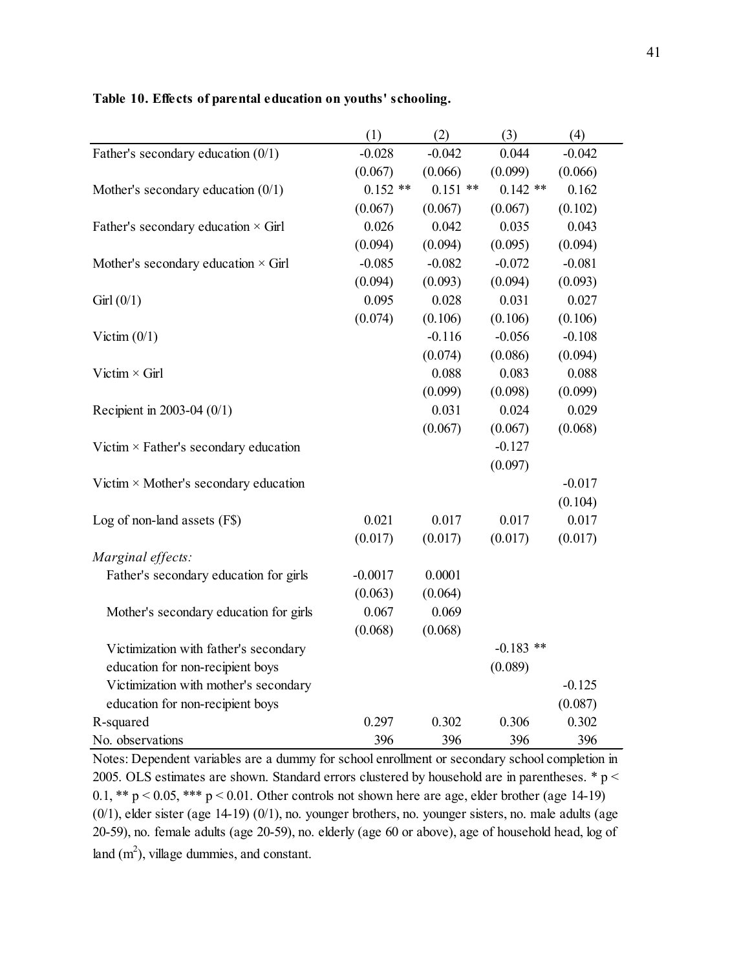|                                              | (1)        | (2)        | (3)         | (4)      |
|----------------------------------------------|------------|------------|-------------|----------|
| Father's secondary education $(0/1)$         | $-0.028$   | $-0.042$   | 0.044       | $-0.042$ |
|                                              | (0.067)    | (0.066)    | (0.099)     | (0.066)  |
| Mother's secondary education $(0/1)$         | $0.152$ ** | $0.151$ ** | $0.142**$   | 0.162    |
|                                              | (0.067)    | (0.067)    | (0.067)     | (0.102)  |
| Father's secondary education $\times$ Girl   | 0.026      | 0.042      | 0.035       | 0.043    |
|                                              | (0.094)    | (0.094)    | (0.095)     | (0.094)  |
| Mother's secondary education $\times$ Girl   | $-0.085$   | $-0.082$   | $-0.072$    | $-0.081$ |
|                                              | (0.094)    | (0.093)    | (0.094)     | (0.093)  |
| Girl(0/1)                                    | 0.095      | 0.028      | 0.031       | 0.027    |
|                                              | (0.074)    | (0.106)    | (0.106)     | (0.106)  |
| Victim $(0/1)$                               |            | $-0.116$   | $-0.056$    | $-0.108$ |
|                                              |            | (0.074)    | (0.086)     | (0.094)  |
| Victim $\times$ Girl                         |            | 0.088      | 0.083       | 0.088    |
|                                              |            | (0.099)    | (0.098)     | (0.099)  |
| Recipient in 2003-04 (0/1)                   |            | 0.031      | 0.024       | 0.029    |
|                                              |            | (0.067)    | (0.067)     | (0.068)  |
| Victim $\times$ Father's secondary education |            |            | $-0.127$    |          |
|                                              |            |            | (0.097)     |          |
| Victim $\times$ Mother's secondary education |            |            |             | $-0.017$ |
|                                              |            |            |             | (0.104)  |
| Log of non-land assets (F\$)                 | 0.021      | 0.017      | 0.017       | 0.017    |
|                                              | (0.017)    | (0.017)    | (0.017)     | (0.017)  |
| Marginal effects:                            |            |            |             |          |
| Father's secondary education for girls       | $-0.0017$  | 0.0001     |             |          |
|                                              | (0.063)    | (0.064)    |             |          |
| Mother's secondary education for girls       | 0.067      | 0.069      |             |          |
|                                              | (0.068)    | (0.068)    |             |          |
| Victimization with father's secondary        |            |            | $-0.183$ ** |          |
| education for non-recipient boys             |            |            | (0.089)     |          |
| Victimization with mother's secondary        |            |            |             | $-0.125$ |
| education for non-recipient boys             |            |            |             | (0.087)  |
| R-squared                                    | 0.297      | 0.302      | 0.306       | 0.302    |
| No. observations                             | 396        | 396        | 396         | 396      |

### **Table 10. Effects of parental education on youths' schooling.**

Notes: Dependent variables are a dummy for school enrollment or secondary school completion in 2005. OLS estimates are shown. Standard errors clustered by household are in parentheses. \* p < 0.1, \*\*  $p < 0.05$ , \*\*\*  $p < 0.01$ . Other controls not shown here are age, elder brother (age 14-19) (0/1), elder sister (age 14-19) (0/1), no. younger brothers, no. younger sisters, no. male adults (age 20-59), no. female adults (age 20-59), no. elderly (age 60 or above), age of household head, log of land  $(m^2)$ , village dummies, and constant.